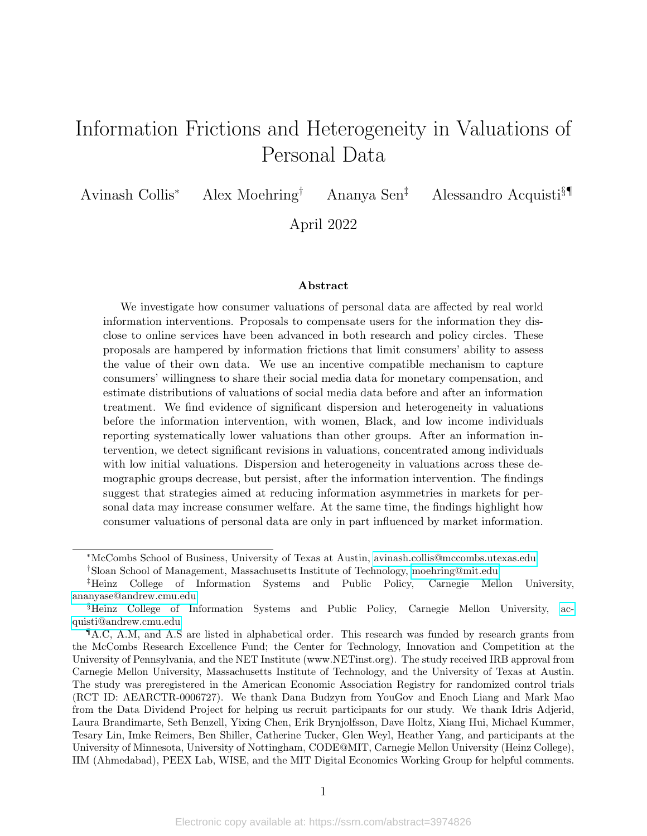# Information Frictions and Heterogeneity in Valuations of Personal Data

Avinash Collis<sup>∗</sup> Alex Moehring† Ananya Sen‡ Alessandro Acquisti§¶

April 2022

#### Abstract

We investigate how consumer valuations of personal data are affected by real world information interventions. Proposals to compensate users for the information they disclose to online services have been advanced in both research and policy circles. These proposals are hampered by information frictions that limit consumers' ability to assess the value of their own data. We use an incentive compatible mechanism to capture consumers' willingness to share their social media data for monetary compensation, and estimate distributions of valuations of social media data before and after an information treatment. We find evidence of significant dispersion and heterogeneity in valuations before the information intervention, with women, Black, and low income individuals reporting systematically lower valuations than other groups. After an information intervention, we detect significant revisions in valuations, concentrated among individuals with low initial valuations. Dispersion and heterogeneity in valuations across these demographic groups decrease, but persist, after the information intervention. The findings suggest that strategies aimed at reducing information asymmetries in markets for personal data may increase consumer welfare. At the same time, the findings highlight how consumer valuations of personal data are only in part influenced by market information.

<sup>∗</sup>McCombs School of Business, University of Texas at Austin, [avinash.collis@mccombs.utexas.edu](mailto:avinash.collis@mccombs.utexas.edu)

<sup>†</sup>Sloan School of Management, Massachusetts Institute of Technology, [moehring@mit.edu](mailto:moehring@mit.edu)

<sup>‡</sup>Heinz College of Information Systems and Public Policy, Carnegie Mellon University, [ananyase@andrew.cmu.edu](mailto:ananyase@andrew.cmu.edu)

<sup>§</sup>Heinz College of Information Systems and Public Policy, Carnegie Mellon University, [ac](mailto:acquisti@andrew.cmu.edu)[quisti@andrew.cmu.edu](mailto:acquisti@andrew.cmu.edu)

<sup>¶</sup>A.C, A.M, and A.S are listed in alphabetical order. This research was funded by research grants from the McCombs Research Excellence Fund; the Center for Technology, Innovation and Competition at the University of Pennsylvania, and the NET Institute (www.NETinst.org). The study received IRB approval from Carnegie Mellon University, Massachusetts Institute of Technology, and the University of Texas at Austin. The study was preregistered in the American Economic Association Registry for randomized control trials (RCT ID: AEARCTR-0006727). We thank Dana Budzyn from YouGov and Enoch Liang and Mark Mao from the Data Dividend Project for helping us recruit participants for our study. We thank Idris Adjerid, Laura Brandimarte, Seth Benzell, Yixing Chen, Erik Brynjolfsson, Dave Holtz, Xiang Hui, Michael Kummer, Tesary Lin, Imke Reimers, Ben Shiller, Catherine Tucker, Glen Weyl, Heather Yang, and participants at the University of Minnesota, University of Nottingham, CODE@MIT, Carnegie Mellon University (Heinz College), IIM (Ahmedabad), PEEX Lab, WISE, and the MIT Digital Economics Working Group for helpful comments.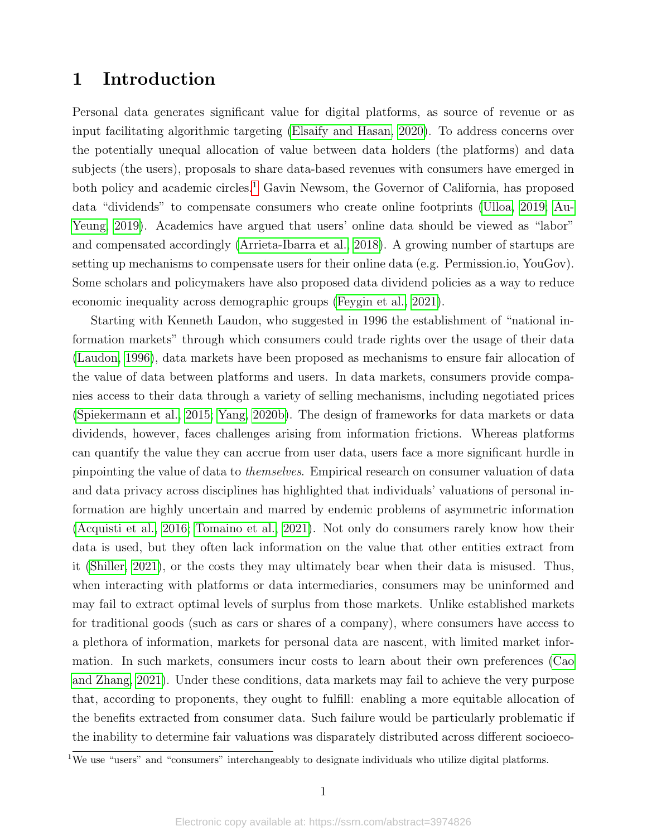### 1 Introduction

Personal data generates significant value for digital platforms, as source of revenue or as input facilitating algorithmic targeting [\(Elsaify and Hasan, 2020\)](#page-17-0). To address concerns over the potentially unequal allocation of value between data holders (the platforms) and data subjects (the users), proposals to share data-based revenues with consumers have emerged in both policy and academic circles.<sup>[1](#page-1-0)</sup> Gavin Newsom, the Governor of California, has proposed data "dividends" to compensate consumers who create online footprints [\(Ulloa, 2019;](#page-19-0) [Au-](#page-16-0)[Yeung, 2019\)](#page-16-0). Academics have argued that users' online data should be viewed as "labor" and compensated accordingly [\(Arrieta-Ibarra et al., 2018\)](#page-16-1). A growing number of startups are setting up mechanisms to compensate users for their online data (e.g. Permission.io, YouGov). Some scholars and policymakers have also proposed data dividend policies as a way to reduce economic inequality across demographic groups [\(Feygin et al., 2021\)](#page-17-1).

Starting with Kenneth Laudon, who suggested in 1996 the establishment of "national information markets" through which consumers could trade rights over the usage of their data [\(Laudon, 1996\)](#page-18-0), data markets have been proposed as mechanisms to ensure fair allocation of the value of data between platforms and users. In data markets, consumers provide companies access to their data through a variety of selling mechanisms, including negotiated prices [\(Spiekermann et al., 2015;](#page-18-1) [Yang, 2020b\)](#page-19-1). The design of frameworks for data markets or data dividends, however, faces challenges arising from information frictions. Whereas platforms can quantify the value they can accrue from user data, users face a more significant hurdle in pinpointing the value of data to themselves. Empirical research on consumer valuation of data and data privacy across disciplines has highlighted that individuals' valuations of personal information are highly uncertain and marred by endemic problems of asymmetric information [\(Acquisti et al., 2016;](#page-16-2) [Tomaino et al., 2021\)](#page-19-2). Not only do consumers rarely know how their data is used, but they often lack information on the value that other entities extract from it [\(Shiller, 2021\)](#page-18-2), or the costs they may ultimately bear when their data is misused. Thus, when interacting with platforms or data intermediaries, consumers may be uninformed and may fail to extract optimal levels of surplus from those markets. Unlike established markets for traditional goods (such as cars or shares of a company), where consumers have access to a plethora of information, markets for personal data are nascent, with limited market information. In such markets, consumers incur costs to learn about their own preferences [\(Cao](#page-17-2) [and Zhang, 2021\)](#page-17-2). Under these conditions, data markets may fail to achieve the very purpose that, according to proponents, they ought to fulfill: enabling a more equitable allocation of the benefits extracted from consumer data. Such failure would be particularly problematic if the inability to determine fair valuations was disparately distributed across different socioeco-

<span id="page-1-0"></span> $1$ <sup>I</sup>We use "users" and "consumers" interchangeably to designate individuals who utilize digital platforms.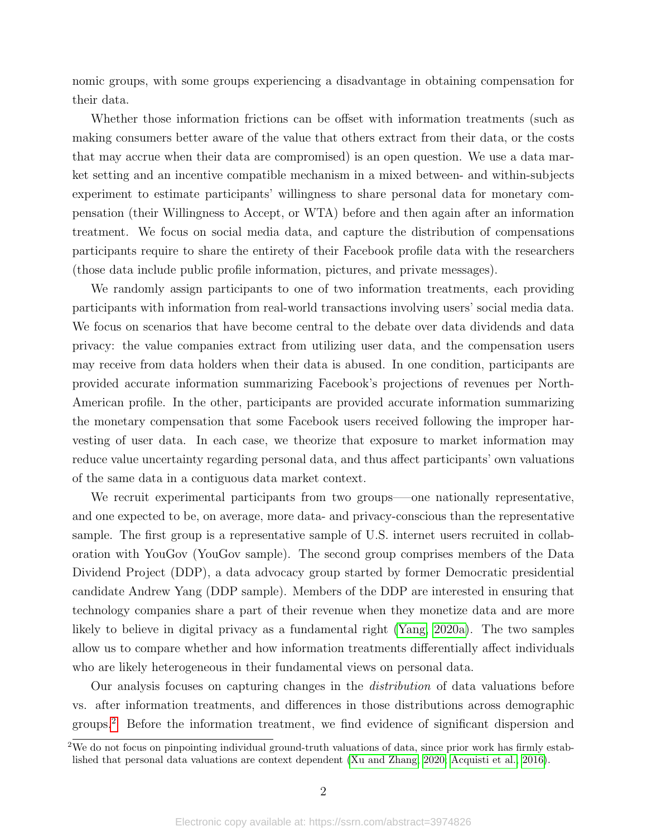nomic groups, with some groups experiencing a disadvantage in obtaining compensation for their data.

Whether those information frictions can be offset with information treatments (such as making consumers better aware of the value that others extract from their data, or the costs that may accrue when their data are compromised) is an open question. We use a data market setting and an incentive compatible mechanism in a mixed between- and within-subjects experiment to estimate participants' willingness to share personal data for monetary compensation (their Willingness to Accept, or WTA) before and then again after an information treatment. We focus on social media data, and capture the distribution of compensations participants require to share the entirety of their Facebook profile data with the researchers (those data include public profile information, pictures, and private messages).

We randomly assign participants to one of two information treatments, each providing participants with information from real-world transactions involving users' social media data. We focus on scenarios that have become central to the debate over data dividends and data privacy: the value companies extract from utilizing user data, and the compensation users may receive from data holders when their data is abused. In one condition, participants are provided accurate information summarizing Facebook's projections of revenues per North-American profile. In the other, participants are provided accurate information summarizing the monetary compensation that some Facebook users received following the improper harvesting of user data. In each case, we theorize that exposure to market information may reduce value uncertainty regarding personal data, and thus affect participants' own valuations of the same data in a contiguous data market context.

We recruit experimental participants from two groups–—one nationally representative, and one expected to be, on average, more data- and privacy-conscious than the representative sample. The first group is a representative sample of U.S. internet users recruited in collaboration with YouGov (YouGov sample). The second group comprises members of the Data Dividend Project (DDP), a data advocacy group started by former Democratic presidential candidate Andrew Yang (DDP sample). Members of the DDP are interested in ensuring that technology companies share a part of their revenue when they monetize data and are more likely to believe in digital privacy as a fundamental right [\(Yang, 2020a\)](#page-19-3). The two samples allow us to compare whether and how information treatments differentially affect individuals who are likely heterogeneous in their fundamental views on personal data.

Our analysis focuses on capturing changes in the distribution of data valuations before vs. after information treatments, and differences in those distributions across demographic groups.[2](#page-2-0) Before the information treatment, we find evidence of significant dispersion and

<span id="page-2-0"></span><sup>&</sup>lt;sup>2</sup>We do not focus on pinpointing individual ground-truth valuations of data, since prior work has firmly established that personal data valuations are context dependent [\(Xu and Zhang, 2020;](#page-19-4) [Acquisti et al., 2016\)](#page-16-2).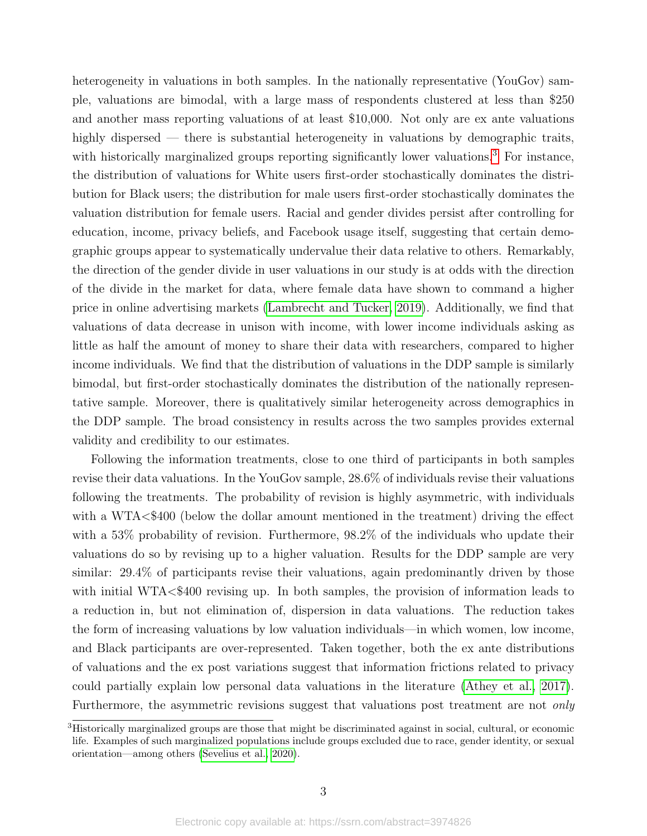heterogeneity in valuations in both samples. In the nationally representative (YouGov) sample, valuations are bimodal, with a large mass of respondents clustered at less than \$250 and another mass reporting valuations of at least \$10,000. Not only are ex ante valuations highly dispersed — there is substantial heterogeneity in valuations by demographic traits, with historically marginalized groups reporting significantly lower valuations.<sup>[3](#page-3-0)</sup> For instance, the distribution of valuations for White users first-order stochastically dominates the distribution for Black users; the distribution for male users first-order stochastically dominates the valuation distribution for female users. Racial and gender divides persist after controlling for education, income, privacy beliefs, and Facebook usage itself, suggesting that certain demographic groups appear to systematically undervalue their data relative to others. Remarkably, the direction of the gender divide in user valuations in our study is at odds with the direction of the divide in the market for data, where female data have shown to command a higher price in online advertising markets [\(Lambrecht and Tucker, 2019\)](#page-18-3). Additionally, we find that valuations of data decrease in unison with income, with lower income individuals asking as little as half the amount of money to share their data with researchers, compared to higher income individuals. We find that the distribution of valuations in the DDP sample is similarly bimodal, but first-order stochastically dominates the distribution of the nationally representative sample. Moreover, there is qualitatively similar heterogeneity across demographics in the DDP sample. The broad consistency in results across the two samples provides external validity and credibility to our estimates.

Following the information treatments, close to one third of participants in both samples revise their data valuations. In the YouGov sample, 28.6% of individuals revise their valuations following the treatments. The probability of revision is highly asymmetric, with individuals with a WTA<\$400 (below the dollar amount mentioned in the treatment) driving the effect with a 53% probability of revision. Furthermore, 98.2% of the individuals who update their valuations do so by revising up to a higher valuation. Results for the DDP sample are very similar: 29.4% of participants revise their valuations, again predominantly driven by those with initial WTA<\$400 revising up. In both samples, the provision of information leads to a reduction in, but not elimination of, dispersion in data valuations. The reduction takes the form of increasing valuations by low valuation individuals—in which women, low income, and Black participants are over-represented. Taken together, both the ex ante distributions of valuations and the ex post variations suggest that information frictions related to privacy could partially explain low personal data valuations in the literature [\(Athey et al., 2017\)](#page-16-3). Furthermore, the asymmetric revisions suggest that valuations post treatment are not *only* 

<span id="page-3-0"></span><sup>&</sup>lt;sup>3</sup>Historically marginalized groups are those that might be discriminated against in social, cultural, or economic life. Examples of such marginalized populations include groups excluded due to race, gender identity, or sexual orientation—among others [\(Sevelius et al., 2020\)](#page-18-4).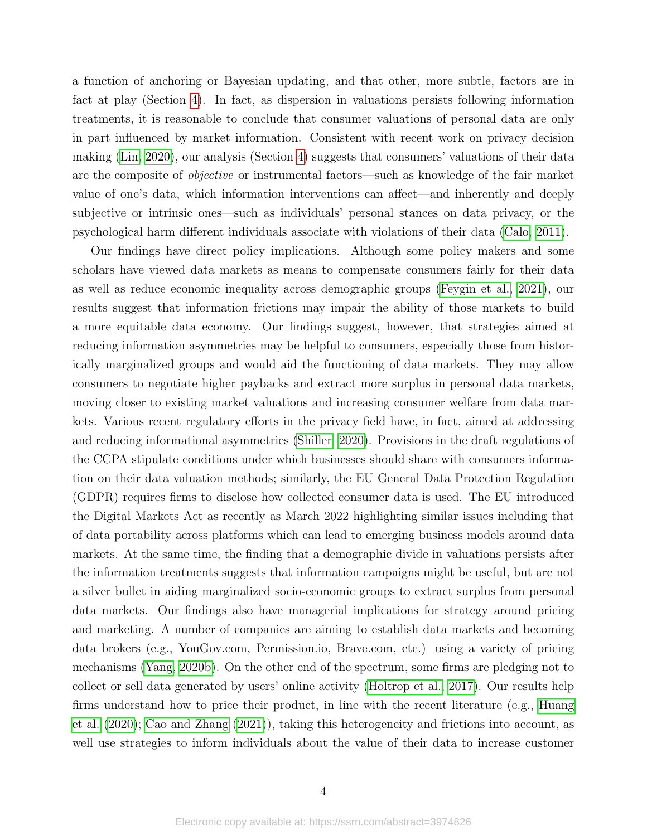a function of anchoring or Bayesian updating, and that other, more subtle, factors are in fact at play (Section [4\)](#page-10-0). In fact, as dispersion in valuations persists following information treatments, it is reasonable to conclude that consumer valuations of personal data are only in part influenced by market information. Consistent with recent work on privacy decision making [\(Lin, 2020\)](#page-18-5), our analysis (Section [4\)](#page-10-0) suggests that consumers' valuations of their data are the composite of objective or instrumental factors—such as knowledge of the fair market value of one's data, which information interventions can affect—and inherently and deeply subjective or intrinsic ones—such as individuals' personal stances on data privacy, or the psychological harm different individuals associate with violations of their data [\(Calo, 2011\)](#page-17-3).

Our findings have direct policy implications. Although some policy makers and some scholars have viewed data markets as means to compensate consumers fairly for their data as well as reduce economic inequality across demographic groups [\(Feygin et al., 2021\)](#page-17-1), our results suggest that information frictions may impair the ability of those markets to build a more equitable data economy. Our findings suggest, however, that strategies aimed at reducing information asymmetries may be helpful to consumers, especially those from historically marginalized groups and would aid the functioning of data markets. They may allow consumers to negotiate higher paybacks and extract more surplus in personal data markets, moving closer to existing market valuations and increasing consumer welfare from data markets. Various recent regulatory efforts in the privacy field have, in fact, aimed at addressing and reducing informational asymmetries [\(Shiller, 2020\)](#page-18-6). Provisions in the draft regulations of the CCPA stipulate conditions under which businesses should share with consumers information on their data valuation methods; similarly, the EU General Data Protection Regulation (GDPR) requires firms to disclose how collected consumer data is used. The EU introduced the Digital Markets Act as recently as March 2022 highlighting similar issues including that of data portability across platforms which can lead to emerging business models around data markets. At the same time, the finding that a demographic divide in valuations persists after the information treatments suggests that information campaigns might be useful, but are not a silver bullet in aiding marginalized socio-economic groups to extract surplus from personal data markets. Our findings also have managerial implications for strategy around pricing and marketing. A number of companies are aiming to establish data markets and becoming data brokers (e.g., YouGov.com, Permission.io, Brave.com, etc.) using a variety of pricing mechanisms [\(Yang, 2020b\)](#page-19-1). On the other end of the spectrum, some firms are pledging not to collect or sell data generated by users' online activity [\(Holtrop et al., 2017\)](#page-17-4). Our results help firms understand how to price their product, in line with the recent literature (e.g., [Huang](#page-18-7) [et al.](#page-18-7) [\(2020\)](#page-18-7); [Cao and Zhang](#page-17-2) [\(2021\)](#page-17-2)), taking this heterogeneity and frictions into account, as well use strategies to inform individuals about the value of their data to increase customer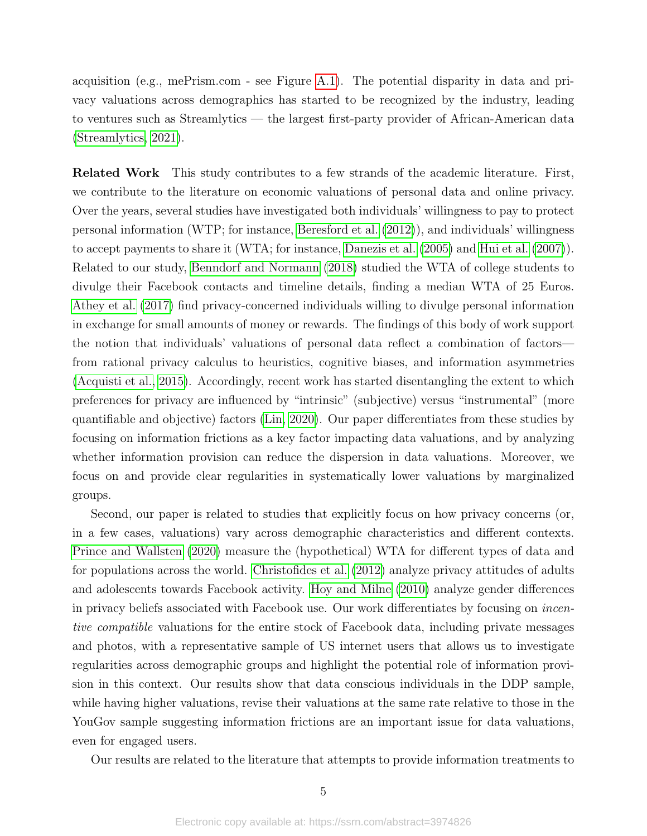acquisition (e.g., mePrism.com - see Figure [A.1\)](#page-28-0). The potential disparity in data and privacy valuations across demographics has started to be recognized by the industry, leading to ventures such as Streamlytics — the largest first-party provider of African-American data [\(Streamlytics, 2021\)](#page-18-8).

Related Work This study contributes to a few strands of the academic literature. First, we contribute to the literature on economic valuations of personal data and online privacy. Over the years, several studies have investigated both individuals' willingness to pay to protect personal information (WTP; for instance, [Beresford et al.](#page-16-4) [\(2012\)](#page-16-4)), and individuals' willingness to accept payments to share it (WTA; for instance, [Danezis et al.](#page-17-5) [\(2005\)](#page-17-5) and [Hui et al.](#page-18-9) [\(2007\)](#page-18-9)). Related to our study, [Benndorf and Normann](#page-16-5) [\(2018\)](#page-16-5) studied the WTA of college students to divulge their Facebook contacts and timeline details, finding a median WTA of 25 Euros. [Athey et al.](#page-16-3) [\(2017\)](#page-16-3) find privacy-concerned individuals willing to divulge personal information in exchange for small amounts of money or rewards. The findings of this body of work support the notion that individuals' valuations of personal data reflect a combination of factors from rational privacy calculus to heuristics, cognitive biases, and information asymmetries [\(Acquisti et al., 2015\)](#page-16-6). Accordingly, recent work has started disentangling the extent to which preferences for privacy are influenced by "intrinsic" (subjective) versus "instrumental" (more quantifiable and objective) factors [\(Lin, 2020\)](#page-18-5). Our paper differentiates from these studies by focusing on information frictions as a key factor impacting data valuations, and by analyzing whether information provision can reduce the dispersion in data valuations. Moreover, we focus on and provide clear regularities in systematically lower valuations by marginalized groups.

Second, our paper is related to studies that explicitly focus on how privacy concerns (or, in a few cases, valuations) vary across demographic characteristics and different contexts. [Prince and Wallsten](#page-18-10) [\(2020\)](#page-18-10) measure the (hypothetical) WTA for different types of data and for populations across the world. [Christofides et al.](#page-17-6) [\(2012\)](#page-17-6) analyze privacy attitudes of adults and adolescents towards Facebook activity. [Hoy and Milne](#page-18-11) [\(2010\)](#page-18-11) analyze gender differences in privacy beliefs associated with Facebook use. Our work differentiates by focusing on incentive compatible valuations for the entire stock of Facebook data, including private messages and photos, with a representative sample of US internet users that allows us to investigate regularities across demographic groups and highlight the potential role of information provision in this context. Our results show that data conscious individuals in the DDP sample, while having higher valuations, revise their valuations at the same rate relative to those in the YouGov sample suggesting information frictions are an important issue for data valuations, even for engaged users.

Our results are related to the literature that attempts to provide information treatments to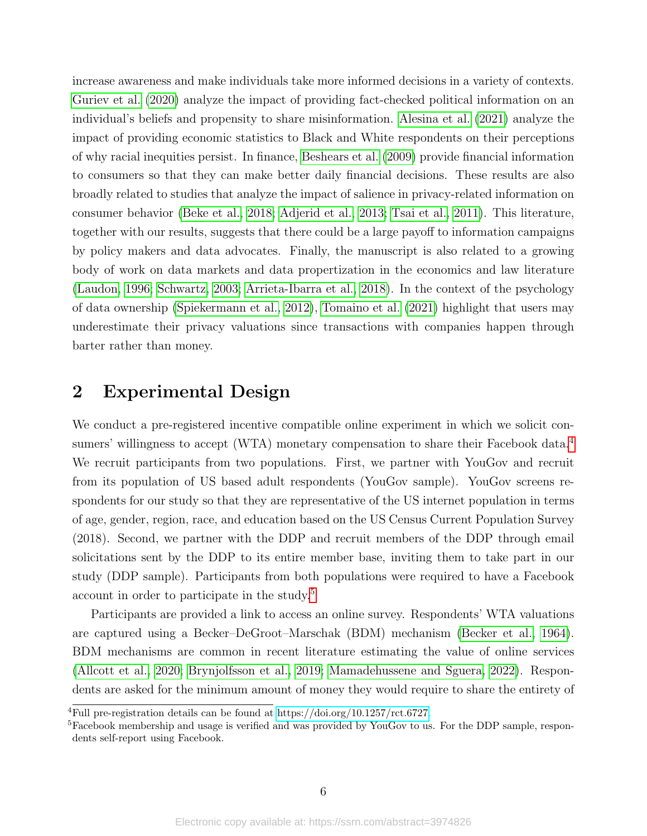increase awareness and make individuals take more informed decisions in a variety of contexts. [Guriev et al.](#page-17-7) [\(2020\)](#page-17-7) analyze the impact of providing fact-checked political information on an individual's beliefs and propensity to share misinformation. [Alesina et al.](#page-16-7) [\(2021\)](#page-16-7) analyze the impact of providing economic statistics to Black and White respondents on their perceptions of why racial inequities persist. In finance, [Beshears et al.](#page-16-8) [\(2009\)](#page-16-8) provide financial information to consumers so that they can make better daily financial decisions. These results are also broadly related to studies that analyze the impact of salience in privacy-related information on consumer behavior [\(Beke et al., 2018;](#page-16-9) [Adjerid et al., 2013;](#page-16-10) [Tsai et al., 2011\)](#page-19-5). This literature, together with our results, suggests that there could be a large payoff to information campaigns by policy makers and data advocates. Finally, the manuscript is also related to a growing body of work on data markets and data propertization in the economics and law literature [\(Laudon, 1996;](#page-18-0) [Schwartz, 2003;](#page-18-12) [Arrieta-Ibarra et al., 2018\)](#page-16-1). In the context of the psychology of data ownership [\(Spiekermann et al., 2012\)](#page-18-13), [Tomaino et al.](#page-19-2) [\(2021\)](#page-19-2) highlight that users may underestimate their privacy valuations since transactions with companies happen through barter rather than money.

## 2 Experimental Design

We conduct a pre-registered incentive compatible online experiment in which we solicit con-sumers' willingness to accept (WTA) monetary compensation to share their Facebook data.<sup>[4](#page-6-0)</sup> We recruit participants from two populations. First, we partner with YouGov and recruit from its population of US based adult respondents (YouGov sample). YouGov screens respondents for our study so that they are representative of the US internet population in terms of age, gender, region, race, and education based on the US Census Current Population Survey (2018). Second, we partner with the DDP and recruit members of the DDP through email solicitations sent by the DDP to its entire member base, inviting them to take part in our study (DDP sample). Participants from both populations were required to have a Facebook account in order to participate in the study.[5](#page-6-1)

Participants are provided a link to access an online survey. Respondents' WTA valuations are captured using a Becker–DeGroot–Marschak (BDM) mechanism [\(Becker et al., 1964\)](#page-16-11). BDM mechanisms are common in recent literature estimating the value of online services [\(Allcott et al., 2020;](#page-16-12) [Brynjolfsson et al., 2019;](#page-17-8) [Mamadehussene and Sguera, 2022\)](#page-18-14). Respondents are asked for the minimum amount of money they would require to share the entirety of

<span id="page-6-0"></span><sup>&</sup>lt;sup>4</sup>Full pre-registration details can be found at [https://doi.org/10.1257/rct.6727.](https://doi.org/10.1257/rct.6727)

<span id="page-6-1"></span><sup>&</sup>lt;sup>5</sup>Facebook membership and usage is verified and was provided by YouGov to us. For the DDP sample, respondents self-report using Facebook.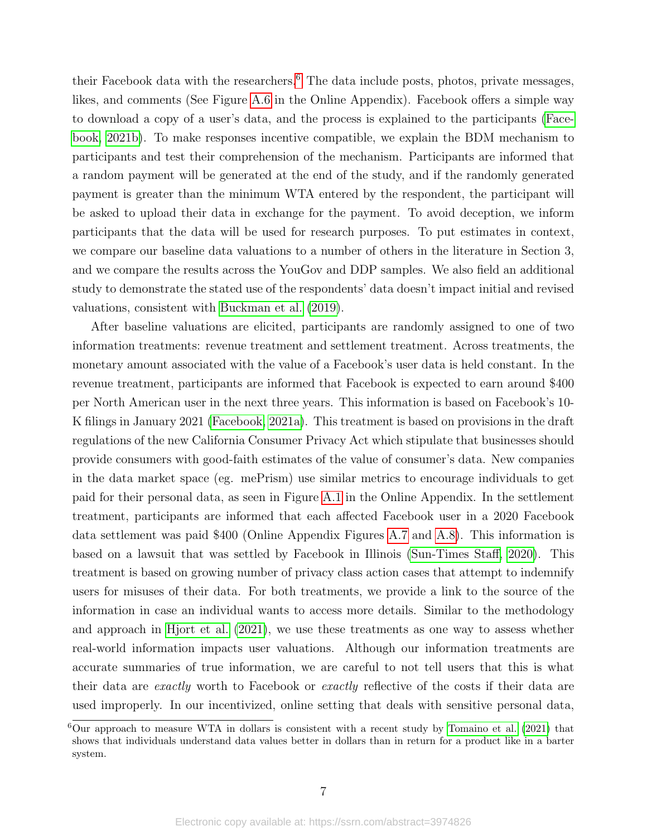their Facebook data with the researchers. $6$  The data include posts, photos, private messages, likes, and comments (See Figure [A.6](#page-33-0) in the Online Appendix). Facebook offers a simple way to download a copy of a user's data, and the process is explained to the participants [\(Face](#page-17-9)[book, 2021b\)](#page-17-9). To make responses incentive compatible, we explain the BDM mechanism to participants and test their comprehension of the mechanism. Participants are informed that a random payment will be generated at the end of the study, and if the randomly generated payment is greater than the minimum WTA entered by the respondent, the participant will be asked to upload their data in exchange for the payment. To avoid deception, we inform participants that the data will be used for research purposes. To put estimates in context, we compare our baseline data valuations to a number of others in the literature in Section 3, and we compare the results across the YouGov and DDP samples. We also field an additional study to demonstrate the stated use of the respondents' data doesn't impact initial and revised valuations, consistent with [Buckman et al.](#page-17-10) [\(2019\)](#page-17-10).

After baseline valuations are elicited, participants are randomly assigned to one of two information treatments: revenue treatment and settlement treatment. Across treatments, the monetary amount associated with the value of a Facebook's user data is held constant. In the revenue treatment, participants are informed that Facebook is expected to earn around \$400 per North American user in the next three years. This information is based on Facebook's 10- K filings in January 2021 [\(Facebook, 2021a\)](#page-17-11). This treatment is based on provisions in the draft regulations of the new California Consumer Privacy Act which stipulate that businesses should provide consumers with good-faith estimates of the value of consumer's data. New companies in the data market space (eg. mePrism) use similar metrics to encourage individuals to get paid for their personal data, as seen in Figure [A.1](#page-28-0) in the Online Appendix. In the settlement treatment, participants are informed that each affected Facebook user in a 2020 Facebook data settlement was paid \$400 (Online Appendix Figures [A.7](#page-33-1) and [A.8\)](#page-34-0). This information is based on a lawsuit that was settled by Facebook in Illinois [\(Sun-Times Staff, 2020\)](#page-18-15). This treatment is based on growing number of privacy class action cases that attempt to indemnify users for misuses of their data. For both treatments, we provide a link to the source of the information in case an individual wants to access more details. Similar to the methodology and approach in [Hjort et al.](#page-17-12) [\(2021\)](#page-17-12), we use these treatments as one way to assess whether real-world information impacts user valuations. Although our information treatments are accurate summaries of true information, we are careful to not tell users that this is what their data are exactly worth to Facebook or exactly reflective of the costs if their data are used improperly. In our incentivized, online setting that deals with sensitive personal data,

<span id="page-7-0"></span> ${}^{6}$ Our approach to measure WTA in dollars is consistent with a recent study by [Tomaino et al.](#page-19-2) [\(2021\)](#page-19-2) that shows that individuals understand data values better in dollars than in return for a product like in a barter system.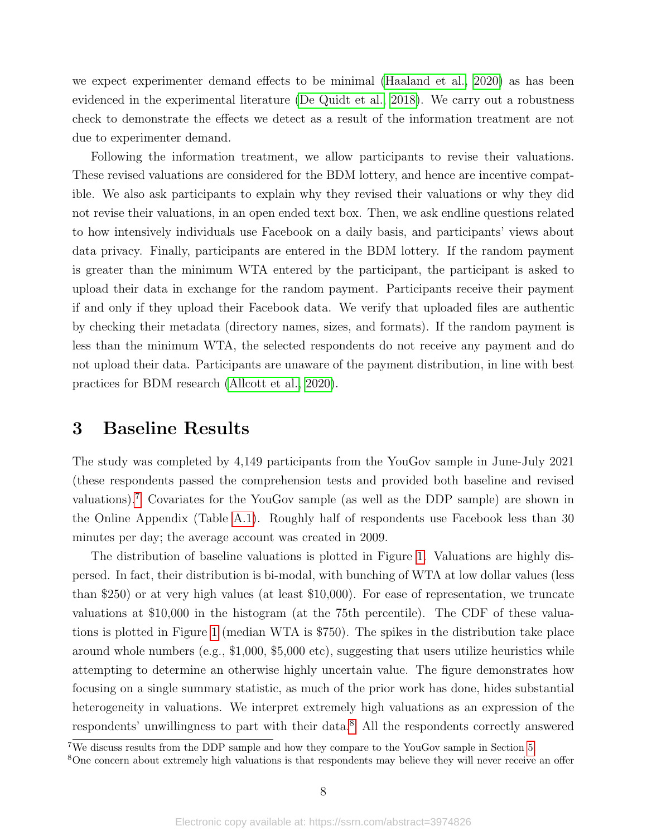we expect experimenter demand effects to be minimal [\(Haaland et al., 2020\)](#page-17-13) as has been evidenced in the experimental literature [\(De Quidt et al., 2018\)](#page-17-14). We carry out a robustness check to demonstrate the effects we detect as a result of the information treatment are not due to experimenter demand.

Following the information treatment, we allow participants to revise their valuations. These revised valuations are considered for the BDM lottery, and hence are incentive compatible. We also ask participants to explain why they revised their valuations or why they did not revise their valuations, in an open ended text box. Then, we ask endline questions related to how intensively individuals use Facebook on a daily basis, and participants' views about data privacy. Finally, participants are entered in the BDM lottery. If the random payment is greater than the minimum WTA entered by the participant, the participant is asked to upload their data in exchange for the random payment. Participants receive their payment if and only if they upload their Facebook data. We verify that uploaded files are authentic by checking their metadata (directory names, sizes, and formats). If the random payment is less than the minimum WTA, the selected respondents do not receive any payment and do not upload their data. Participants are unaware of the payment distribution, in line with best practices for BDM research [\(Allcott et al., 2020\)](#page-16-12).

### 3 Baseline Results

The study was completed by 4,149 participants from the YouGov sample in June-July 2021 (these respondents passed the comprehension tests and provided both baseline and revised valuations).[7](#page-8-0) Covariates for the YouGov sample (as well as the DDP sample) are shown in the Online Appendix (Table [A.1\)](#page-35-0). Roughly half of respondents use Facebook less than 30 minutes per day; the average account was created in 2009.

The distribution of baseline valuations is plotted in Figure [1.](#page-21-0) Valuations are highly dispersed. In fact, their distribution is bi-modal, with bunching of WTA at low dollar values (less than \$250) or at very high values (at least \$10,000). For ease of representation, we truncate valuations at \$10,000 in the histogram (at the 75th percentile). The CDF of these valuations is plotted in Figure [1](#page-21-1) (median WTA is \$750). The spikes in the distribution take place around whole numbers (e.g., \$1,000, \$5,000 etc), suggesting that users utilize heuristics while attempting to determine an otherwise highly uncertain value. The figure demonstrates how focusing on a single summary statistic, as much of the prior work has done, hides substantial heterogeneity in valuations. We interpret extremely high valuations as an expression of the respondents' unwillingness to part with their data.[8](#page-8-1) All the respondents correctly answered

<span id="page-8-0"></span><sup>7</sup>We discuss results from the DDP sample and how they compare to the YouGov sample in Section [5.](#page-14-0)

<span id="page-8-1"></span><sup>&</sup>lt;sup>8</sup>One concern about extremely high valuations is that respondents may believe they will never receive an offer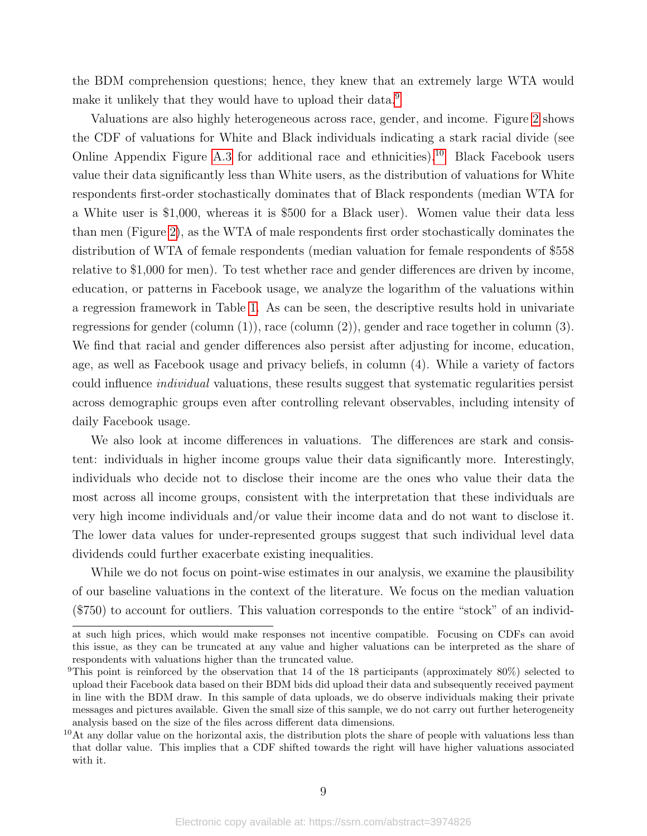the BDM comprehension questions; hence, they knew that an extremely large WTA would make it unlikely that they would have to upload their data.<sup>[9](#page-9-0)</sup>

Valuations are also highly heterogeneous across race, gender, and income. Figure [2](#page-22-0) shows the CDF of valuations for White and Black individuals indicating a stark racial divide (see Online Appendix Figure [A.3](#page-23-0) for additional race and ethnicities).<sup>[10](#page-9-1)</sup> Black Facebook users value their data significantly less than White users, as the distribution of valuations for White respondents first-order stochastically dominates that of Black respondents (median WTA for a White user is \$1,000, whereas it is \$500 for a Black user). Women value their data less than men (Figure [2\)](#page-22-0), as the WTA of male respondents first order stochastically dominates the distribution of WTA of female respondents (median valuation for female respondents of \$558 relative to \$1,000 for men). To test whether race and gender differences are driven by income, education, or patterns in Facebook usage, we analyze the logarithm of the valuations within a regression framework in Table [1.](#page-20-0) As can be seen, the descriptive results hold in univariate regressions for gender (column (1)), race (column (2)), gender and race together in column (3). We find that racial and gender differences also persist after adjusting for income, education, age, as well as Facebook usage and privacy beliefs, in column (4). While a variety of factors could influence individual valuations, these results suggest that systematic regularities persist across demographic groups even after controlling relevant observables, including intensity of daily Facebook usage.

We also look at income differences in valuations. The differences are stark and consistent: individuals in higher income groups value their data significantly more. Interestingly, individuals who decide not to disclose their income are the ones who value their data the most across all income groups, consistent with the interpretation that these individuals are very high income individuals and/or value their income data and do not want to disclose it. The lower data values for under-represented groups suggest that such individual level data dividends could further exacerbate existing inequalities.

While we do not focus on point-wise estimates in our analysis, we examine the plausibility of our baseline valuations in the context of the literature. We focus on the median valuation (\$750) to account for outliers. This valuation corresponds to the entire "stock" of an individ-

at such high prices, which would make responses not incentive compatible. Focusing on CDFs can avoid this issue, as they can be truncated at any value and higher valuations can be interpreted as the share of respondents with valuations higher than the truncated value.

<span id="page-9-0"></span><sup>&</sup>lt;sup>9</sup>This point is reinforced by the observation that 14 of the 18 participants (approximately 80%) selected to upload their Facebook data based on their BDM bids did upload their data and subsequently received payment in line with the BDM draw. In this sample of data uploads, we do observe individuals making their private messages and pictures available. Given the small size of this sample, we do not carry out further heterogeneity analysis based on the size of the files across different data dimensions.

<span id="page-9-1"></span> $10$ At any dollar value on the horizontal axis, the distribution plots the share of people with valuations less than that dollar value. This implies that a CDF shifted towards the right will have higher valuations associated with it.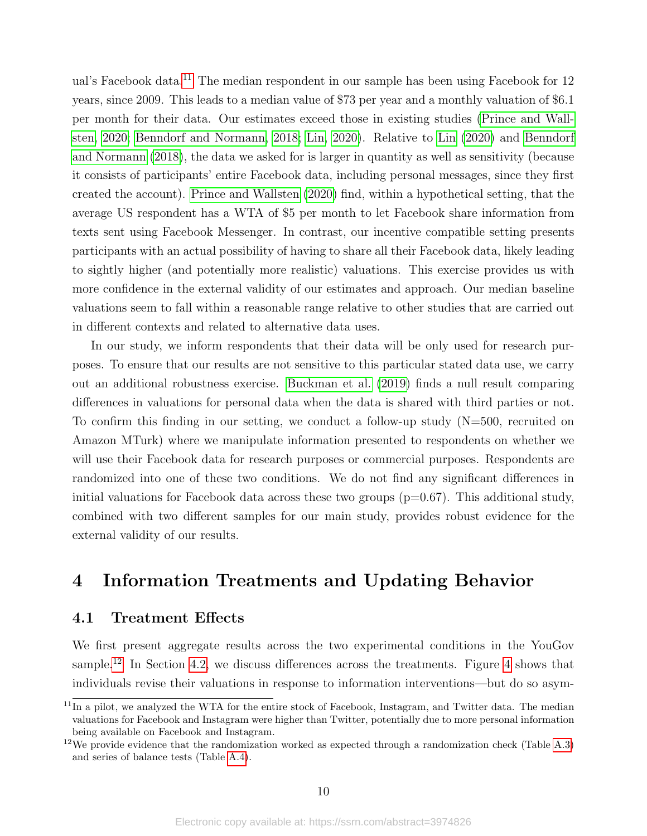ual's Facebook data.<sup>[11](#page-10-1)</sup> The median respondent in our sample has been using Facebook for 12 years, since 2009. This leads to a median value of \$73 per year and a monthly valuation of \$6.1 per month for their data. Our estimates exceed those in existing studies [\(Prince and Wall](#page-18-10)[sten, 2020;](#page-18-10) [Benndorf and Normann, 2018;](#page-16-5) [Lin, 2020\)](#page-18-5). Relative to [Lin](#page-18-5) [\(2020\)](#page-18-5) and [Benndorf](#page-16-5) [and Normann](#page-16-5) [\(2018\)](#page-16-5), the data we asked for is larger in quantity as well as sensitivity (because it consists of participants' entire Facebook data, including personal messages, since they first created the account). [Prince and Wallsten](#page-18-10) [\(2020\)](#page-18-10) find, within a hypothetical setting, that the average US respondent has a WTA of \$5 per month to let Facebook share information from texts sent using Facebook Messenger. In contrast, our incentive compatible setting presents participants with an actual possibility of having to share all their Facebook data, likely leading to sightly higher (and potentially more realistic) valuations. This exercise provides us with more confidence in the external validity of our estimates and approach. Our median baseline valuations seem to fall within a reasonable range relative to other studies that are carried out in different contexts and related to alternative data uses.

In our study, we inform respondents that their data will be only used for research purposes. To ensure that our results are not sensitive to this particular stated data use, we carry out an additional robustness exercise. [Buckman et al.](#page-17-10) [\(2019\)](#page-17-10) finds a null result comparing differences in valuations for personal data when the data is shared with third parties or not. To confirm this finding in our setting, we conduct a follow-up study  $(N=500,$  recruited on Amazon MTurk) where we manipulate information presented to respondents on whether we will use their Facebook data for research purposes or commercial purposes. Respondents are randomized into one of these two conditions. We do not find any significant differences in initial valuations for Facebook data across these two groups  $(p=0.67)$ . This additional study, combined with two different samples for our main study, provides robust evidence for the external validity of our results.

## <span id="page-10-0"></span>4 Information Treatments and Updating Behavior

### 4.1 Treatment Effects

We first present aggregate results across the two experimental conditions in the YouGov sample.<sup>[12](#page-10-2)</sup> In Section [4.2,](#page-12-0) we discuss differences across the treatments. Figure [4](#page-24-0) shows that individuals revise their valuations in response to information interventions—but do so asym-

<span id="page-10-1"></span><sup>&</sup>lt;sup>11</sup>In a pilot, we analyzed the WTA for the entire stock of Facebook, Instagram, and Twitter data. The median valuations for Facebook and Instagram were higher than Twitter, potentially due to more personal information being available on Facebook and Instagram.

<span id="page-10-2"></span><sup>&</sup>lt;sup>12</sup>We provide evidence that the randomization worked as expected through a randomization check (Table [A.3\)](#page-37-0) and series of balance tests (Table [A.4\)](#page-38-0).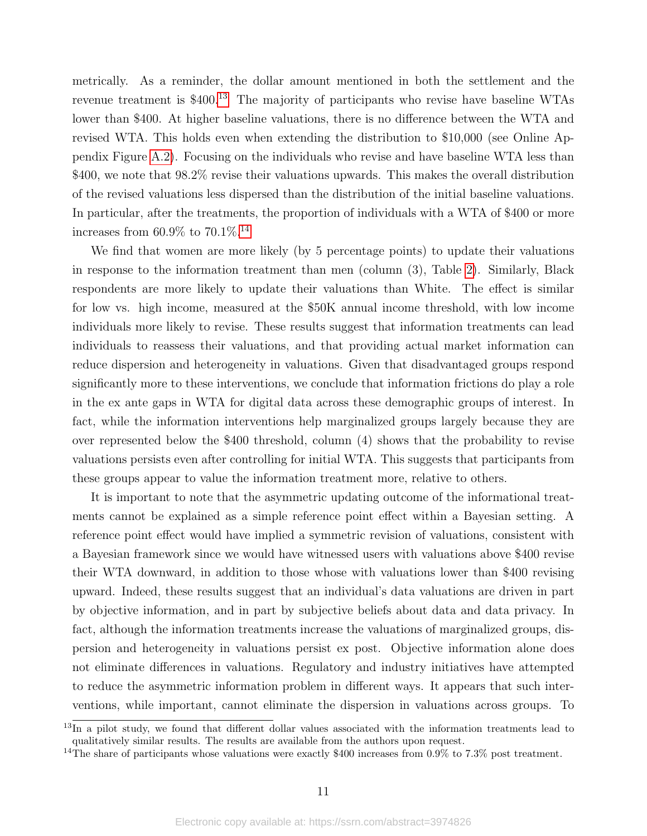metrically. As a reminder, the dollar amount mentioned in both the settlement and the revenue treatment is \$400.[13](#page-11-0) The majority of participants who revise have baseline WTAs lower than \$400. At higher baseline valuations, there is no difference between the WTA and revised WTA. This holds even when extending the distribution to \$10,000 (see Online Appendix Figure [A.2\)](#page-29-0). Focusing on the individuals who revise and have baseline WTA less than \$400, we note that  $98.2\%$  revise their valuations upwards. This makes the overall distribution of the revised valuations less dispersed than the distribution of the initial baseline valuations. In particular, after the treatments, the proportion of individuals with a WTA of \$400 or more increases from 60.9% to  $70.1\%$ <sup>[14](#page-11-1)</sup>

We find that women are more likely (by 5 percentage points) to update their valuations in response to the information treatment than men (column (3), Table [2\)](#page-20-1). Similarly, Black respondents are more likely to update their valuations than White. The effect is similar for low vs. high income, measured at the \$50K annual income threshold, with low income individuals more likely to revise. These results suggest that information treatments can lead individuals to reassess their valuations, and that providing actual market information can reduce dispersion and heterogeneity in valuations. Given that disadvantaged groups respond significantly more to these interventions, we conclude that information frictions do play a role in the ex ante gaps in WTA for digital data across these demographic groups of interest. In fact, while the information interventions help marginalized groups largely because they are over represented below the \$400 threshold, column (4) shows that the probability to revise valuations persists even after controlling for initial WTA. This suggests that participants from these groups appear to value the information treatment more, relative to others.

It is important to note that the asymmetric updating outcome of the informational treatments cannot be explained as a simple reference point effect within a Bayesian setting. A reference point effect would have implied a symmetric revision of valuations, consistent with a Bayesian framework since we would have witnessed users with valuations above \$400 revise their WTA downward, in addition to those whose with valuations lower than \$400 revising upward. Indeed, these results suggest that an individual's data valuations are driven in part by objective information, and in part by subjective beliefs about data and data privacy. In fact, although the information treatments increase the valuations of marginalized groups, dispersion and heterogeneity in valuations persist ex post. Objective information alone does not eliminate differences in valuations. Regulatory and industry initiatives have attempted to reduce the asymmetric information problem in different ways. It appears that such interventions, while important, cannot eliminate the dispersion in valuations across groups. To

<span id="page-11-0"></span><sup>&</sup>lt;sup>13</sup>In a pilot study, we found that different dollar values associated with the information treatments lead to qualitatively similar results. The results are available from the authors upon request.

<span id="page-11-1"></span><sup>&</sup>lt;sup>14</sup>The share of participants whose valuations were exactly \$400 increases from 0.9% to 7.3% post treatment.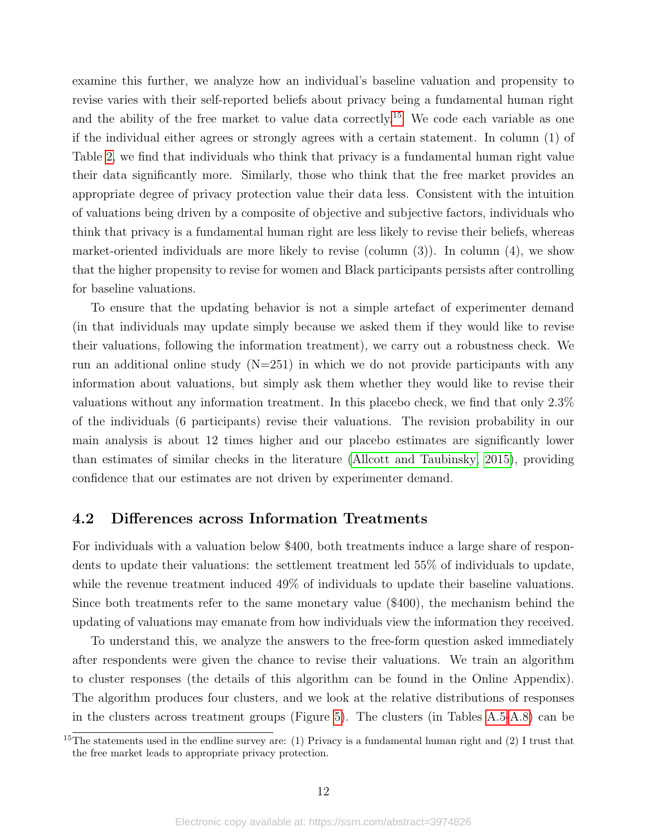examine this further, we analyze how an individual's baseline valuation and propensity to revise varies with their self-reported beliefs about privacy being a fundamental human right and the ability of the free market to value data correctly.<sup>[15](#page-12-1)</sup> We code each variable as one if the individual either agrees or strongly agrees with a certain statement. In column (1) of Table [2,](#page-20-1) we find that individuals who think that privacy is a fundamental human right value their data significantly more. Similarly, those who think that the free market provides an appropriate degree of privacy protection value their data less. Consistent with the intuition of valuations being driven by a composite of objective and subjective factors, individuals who think that privacy is a fundamental human right are less likely to revise their beliefs, whereas market-oriented individuals are more likely to revise (column (3)). In column (4), we show that the higher propensity to revise for women and Black participants persists after controlling for baseline valuations.

To ensure that the updating behavior is not a simple artefact of experimenter demand (in that individuals may update simply because we asked them if they would like to revise their valuations, following the information treatment), we carry out a robustness check. We run an additional online study  $(N=251)$  in which we do not provide participants with any information about valuations, but simply ask them whether they would like to revise their valuations without any information treatment. In this placebo check, we find that only 2.3% of the individuals (6 participants) revise their valuations. The revision probability in our main analysis is about 12 times higher and our placebo estimates are significantly lower than estimates of similar checks in the literature [\(Allcott and Taubinsky, 2015\)](#page-16-13), providing confidence that our estimates are not driven by experimenter demand.

#### <span id="page-12-0"></span>4.2 Differences across Information Treatments

For individuals with a valuation below \$400, both treatments induce a large share of respondents to update their valuations: the settlement treatment led 55% of individuals to update, while the revenue treatment induced 49% of individuals to update their baseline valuations. Since both treatments refer to the same monetary value (\$400), the mechanism behind the updating of valuations may emanate from how individuals view the information they received.

To understand this, we analyze the answers to the free-form question asked immediately after respondents were given the chance to revise their valuations. We train an algorithm to cluster responses (the details of this algorithm can be found in the Online Appendix). The algorithm produces four clusters, and we look at the relative distributions of responses in the clusters across treatment groups (Figure [5\)](#page-25-0). The clusters (in Tables [A.5-](#page-40-0)[A.8\)](#page-43-0) can be

<span id="page-12-1"></span><sup>&</sup>lt;sup>15</sup>The statements used in the endline survey are: (1) Privacy is a fundamental human right and (2) I trust that the free market leads to appropriate privacy protection.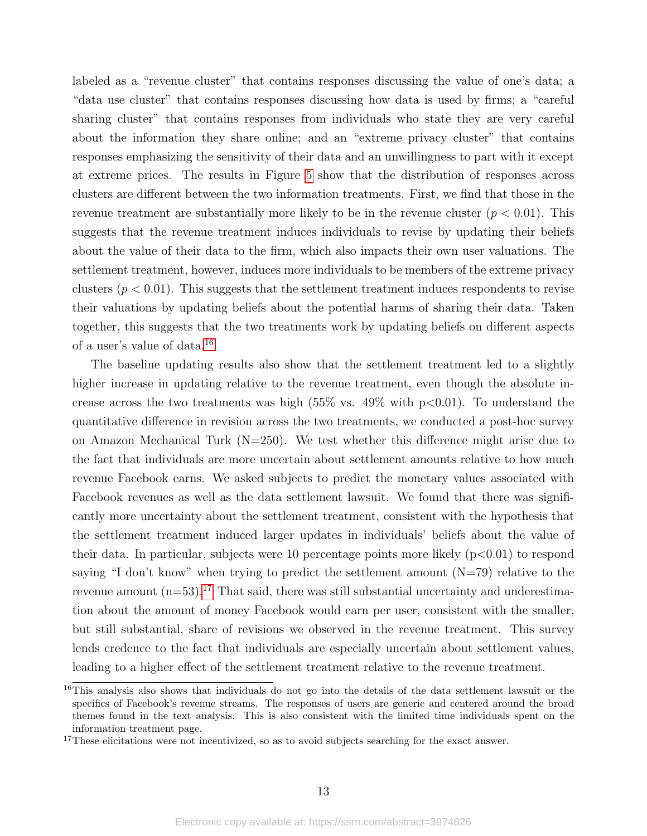labeled as a "revenue cluster" that contains responses discussing the value of one's data; a "data use cluster" that contains responses discussing how data is used by firms; a "careful sharing cluster" that contains responses from individuals who state they are very careful about the information they share online; and an "extreme privacy cluster" that contains responses emphasizing the sensitivity of their data and an unwillingness to part with it except at extreme prices. The results in Figure [5](#page-25-0) show that the distribution of responses across clusters are different between the two information treatments. First, we find that those in the revenue treatment are substantially more likely to be in the revenue cluster  $(p < 0.01)$ . This suggests that the revenue treatment induces individuals to revise by updating their beliefs about the value of their data to the firm, which also impacts their own user valuations. The settlement treatment, however, induces more individuals to be members of the extreme privacy clusters  $(p < 0.01)$ . This suggests that the settlement treatment induces respondents to revise their valuations by updating beliefs about the potential harms of sharing their data. Taken together, this suggests that the two treatments work by updating beliefs on different aspects of a user's value of data.[16](#page-13-0)

The baseline updating results also show that the settlement treatment led to a slightly higher increase in updating relative to the revenue treatment, even though the absolute increase across the two treatments was high  $(55\% \text{ vs. } 49\% \text{ with } p<0.01)$ . To understand the quantitative difference in revision across the two treatments, we conducted a post-hoc survey on Amazon Mechanical Turk (N=250). We test whether this difference might arise due to the fact that individuals are more uncertain about settlement amounts relative to how much revenue Facebook earns. We asked subjects to predict the monetary values associated with Facebook revenues as well as the data settlement lawsuit. We found that there was significantly more uncertainty about the settlement treatment, consistent with the hypothesis that the settlement treatment induced larger updates in individuals' beliefs about the value of their data. In particular, subjects were 10 percentage points more likely  $(p<0.01)$  to respond saying "I don't know" when trying to predict the settlement amount  $(N=79)$  relative to the revenue amount  $(n=53)$ .<sup>[17](#page-13-1)</sup> That said, there was still substantial uncertainty and underestimation about the amount of money Facebook would earn per user, consistent with the smaller, but still substantial, share of revisions we observed in the revenue treatment. This survey lends credence to the fact that individuals are especially uncertain about settlement values, leading to a higher effect of the settlement treatment relative to the revenue treatment.

<span id="page-13-0"></span><sup>&</sup>lt;sup>16</sup>This analysis also shows that individuals do not go into the details of the data settlement lawsuit or the specifics of Facebook's revenue streams. The responses of users are generic and centered around the broad themes found in the text analysis. This is also consistent with the limited time individuals spent on the information treatment page.

<span id="page-13-1"></span><sup>&</sup>lt;sup>17</sup>These elicitations were not incentivized, so as to avoid subjects searching for the exact answer.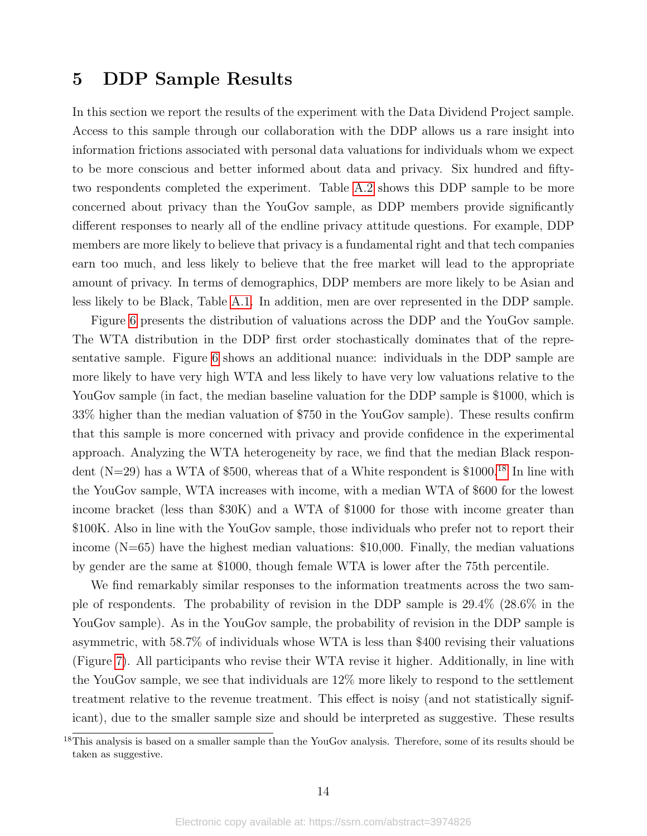### <span id="page-14-0"></span>5 DDP Sample Results

In this section we report the results of the experiment with the Data Dividend Project sample. Access to this sample through our collaboration with the DDP allows us a rare insight into information frictions associated with personal data valuations for individuals whom we expect to be more conscious and better informed about data and privacy. Six hundred and fiftytwo respondents completed the experiment. Table [A.2](#page-36-0) shows this DDP sample to be more concerned about privacy than the YouGov sample, as DDP members provide significantly different responses to nearly all of the endline privacy attitude questions. For example, DDP members are more likely to believe that privacy is a fundamental right and that tech companies earn too much, and less likely to believe that the free market will lead to the appropriate amount of privacy. In terms of demographics, DDP members are more likely to be Asian and less likely to be Black, Table [A.1.](#page-35-0) In addition, men are over represented in the DDP sample.

Figure [6](#page-26-0) presents the distribution of valuations across the DDP and the YouGov sample. The WTA distribution in the DDP first order stochastically dominates that of the representative sample. Figure [6](#page-26-0) shows an additional nuance: individuals in the DDP sample are more likely to have very high WTA and less likely to have very low valuations relative to the YouGov sample (in fact, the median baseline valuation for the DDP sample is \$1000, which is 33% higher than the median valuation of \$750 in the YouGov sample). These results confirm that this sample is more concerned with privacy and provide confidence in the experimental approach. Analyzing the WTA heterogeneity by race, we find that the median Black respondent (N=29) has a WTA of \$500, whereas that of a White respondent is  $$1000$ <sup>[18](#page-14-1)</sup> In line with the YouGov sample, WTA increases with income, with a median WTA of \$600 for the lowest income bracket (less than \$30K) and a WTA of \$1000 for those with income greater than \$100K. Also in line with the YouGov sample, those individuals who prefer not to report their income  $(N=65)$  have the highest median valuations: \$10,000. Finally, the median valuations by gender are the same at \$1000, though female WTA is lower after the 75th percentile.

We find remarkably similar responses to the information treatments across the two sample of respondents. The probability of revision in the DDP sample is 29.4% (28.6% in the YouGov sample). As in the YouGov sample, the probability of revision in the DDP sample is asymmetric, with 58.7% of individuals whose WTA is less than \$400 revising their valuations (Figure [7\)](#page-27-0). All participants who revise their WTA revise it higher. Additionally, in line with the YouGov sample, we see that individuals are 12% more likely to respond to the settlement treatment relative to the revenue treatment. This effect is noisy (and not statistically significant), due to the smaller sample size and should be interpreted as suggestive. These results

<span id="page-14-1"></span><sup>&</sup>lt;sup>18</sup>This analysis is based on a smaller sample than the YouGov analysis. Therefore, some of its results should be taken as suggestive.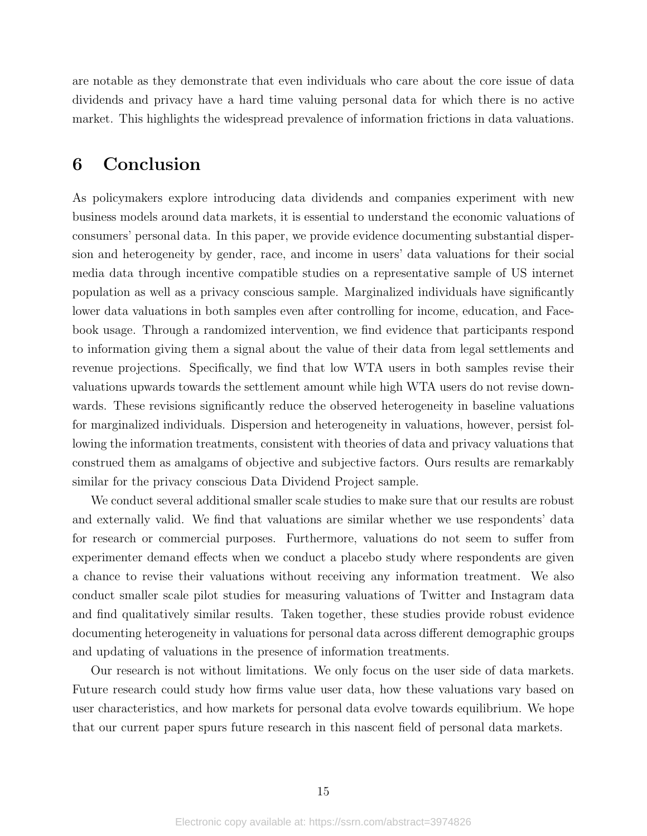are notable as they demonstrate that even individuals who care about the core issue of data dividends and privacy have a hard time valuing personal data for which there is no active market. This highlights the widespread prevalence of information frictions in data valuations.

## 6 Conclusion

As policymakers explore introducing data dividends and companies experiment with new business models around data markets, it is essential to understand the economic valuations of consumers' personal data. In this paper, we provide evidence documenting substantial dispersion and heterogeneity by gender, race, and income in users' data valuations for their social media data through incentive compatible studies on a representative sample of US internet population as well as a privacy conscious sample. Marginalized individuals have significantly lower data valuations in both samples even after controlling for income, education, and Facebook usage. Through a randomized intervention, we find evidence that participants respond to information giving them a signal about the value of their data from legal settlements and revenue projections. Specifically, we find that low WTA users in both samples revise their valuations upwards towards the settlement amount while high WTA users do not revise downwards. These revisions significantly reduce the observed heterogeneity in baseline valuations for marginalized individuals. Dispersion and heterogeneity in valuations, however, persist following the information treatments, consistent with theories of data and privacy valuations that construed them as amalgams of objective and subjective factors. Ours results are remarkably similar for the privacy conscious Data Dividend Project sample.

We conduct several additional smaller scale studies to make sure that our results are robust and externally valid. We find that valuations are similar whether we use respondents' data for research or commercial purposes. Furthermore, valuations do not seem to suffer from experimenter demand effects when we conduct a placebo study where respondents are given a chance to revise their valuations without receiving any information treatment. We also conduct smaller scale pilot studies for measuring valuations of Twitter and Instagram data and find qualitatively similar results. Taken together, these studies provide robust evidence documenting heterogeneity in valuations for personal data across different demographic groups and updating of valuations in the presence of information treatments.

Our research is not without limitations. We only focus on the user side of data markets. Future research could study how firms value user data, how these valuations vary based on user characteristics, and how markets for personal data evolve towards equilibrium. We hope that our current paper spurs future research in this nascent field of personal data markets.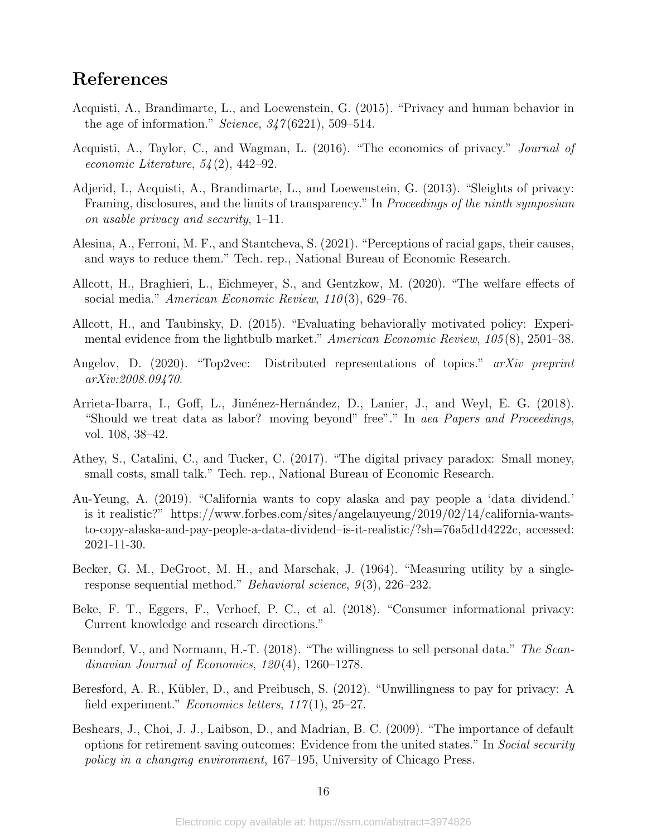## References

- <span id="page-16-6"></span>Acquisti, A., Brandimarte, L., and Loewenstein, G. (2015). "Privacy and human behavior in the age of information." Science,  $347(6221)$ , 509–514.
- <span id="page-16-2"></span>Acquisti, A., Taylor, C., and Wagman, L. (2016). "The economics of privacy." Journal of economic Literature,  $54(2)$ , 442–92.
- <span id="page-16-10"></span>Adjerid, I., Acquisti, A., Brandimarte, L., and Loewenstein, G. (2013). "Sleights of privacy: Framing, disclosures, and the limits of transparency." In Proceedings of the ninth symposium on usable privacy and security, 1–11.
- <span id="page-16-7"></span>Alesina, A., Ferroni, M. F., and Stantcheva, S. (2021). "Perceptions of racial gaps, their causes, and ways to reduce them." Tech. rep., National Bureau of Economic Research.
- <span id="page-16-12"></span>Allcott, H., Braghieri, L., Eichmeyer, S., and Gentzkow, M. (2020). "The welfare effects of social media." American Economic Review, 110(3), 629–76.
- <span id="page-16-13"></span>Allcott, H., and Taubinsky, D. (2015). "Evaluating behaviorally motivated policy: Experimental evidence from the lightbulb market." American Economic Review, 105(8), 2501–38.
- <span id="page-16-14"></span>Angelov, D. (2020). "Top2vec: Distributed representations of topics." arXiv preprint arXiv:2008.09470.
- <span id="page-16-1"></span>Arrieta-Ibarra, I., Goff, L., Jiménez-Hernández, D., Lanier, J., and Weyl, E. G. (2018). "Should we treat data as labor? moving beyond" free"." In aea Papers and Proceedings, vol. 108, 38–42.
- <span id="page-16-3"></span>Athey, S., Catalini, C., and Tucker, C. (2017). "The digital privacy paradox: Small money, small costs, small talk." Tech. rep., National Bureau of Economic Research.
- <span id="page-16-0"></span>Au-Yeung, A. (2019). "California wants to copy alaska and pay people a 'data dividend.' is it realistic?" https://www.forbes.com/sites/angelauyeung/2019/02/14/california-wantsto-copy-alaska-and-pay-people-a-data-dividend–is-it-realistic/?sh=76a5d1d4222c, accessed: 2021-11-30.
- <span id="page-16-11"></span>Becker, G. M., DeGroot, M. H., and Marschak, J. (1964). "Measuring utility by a singleresponse sequential method." *Behavioral science*,  $9(3)$ ,  $226-232$ .
- <span id="page-16-9"></span>Beke, F. T., Eggers, F., Verhoef, P. C., et al. (2018). "Consumer informational privacy: Current knowledge and research directions."
- <span id="page-16-5"></span>Benndorf, V., and Normann, H.-T. (2018). "The willingness to sell personal data." The Scandinavian Journal of Economics,  $120(4)$ ,  $1260-1278$ .
- <span id="page-16-4"></span>Beresford, A. R., Kübler, D., and Preibusch, S. (2012). "Unwillingness to pay for privacy: A field experiment." *Economics letters*,  $117(1)$ ,  $25-27$ .
- <span id="page-16-8"></span>Beshears, J., Choi, J. J., Laibson, D., and Madrian, B. C. (2009). "The importance of default options for retirement saving outcomes: Evidence from the united states." In Social security policy in a changing environment, 167–195, University of Chicago Press.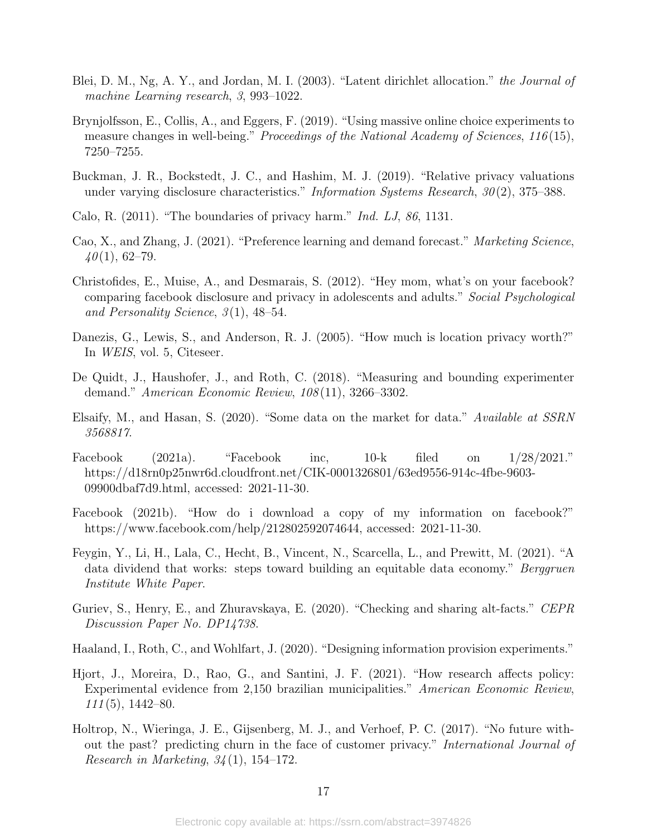- <span id="page-17-15"></span>Blei, D. M., Ng, A. Y., and Jordan, M. I. (2003). "Latent dirichlet allocation." the Journal of machine Learning research, 3, 993–1022.
- <span id="page-17-8"></span>Brynjolfsson, E., Collis, A., and Eggers, F. (2019). "Using massive online choice experiments to measure changes in well-being." Proceedings of the National Academy of Sciences, 116(15), 7250–7255.
- <span id="page-17-10"></span>Buckman, J. R., Bockstedt, J. C., and Hashim, M. J. (2019). "Relative privacy valuations under varying disclosure characteristics." Information Systems Research,  $30(2)$ , 375–388.
- <span id="page-17-3"></span>Calo, R.  $(2011)$ . "The boundaries of privacy harm." *Ind. LJ*, 86, 1131.
- <span id="page-17-2"></span>Cao, X., and Zhang, J. (2021). "Preference learning and demand forecast." Marketing Science,  $40(1), 62-79.$
- <span id="page-17-6"></span>Christofides, E., Muise, A., and Desmarais, S. (2012). "Hey mom, what's on your facebook? comparing facebook disclosure and privacy in adolescents and adults." Social Psychological and Personality Science,  $3(1)$ , 48–54.
- <span id="page-17-5"></span>Danezis, G., Lewis, S., and Anderson, R. J. (2005). "How much is location privacy worth?" In WEIS, vol. 5, Citeseer.
- <span id="page-17-14"></span>De Quidt, J., Haushofer, J., and Roth, C. (2018). "Measuring and bounding experimenter demand." American Economic Review, 108 (11), 3266–3302.
- <span id="page-17-0"></span>Elsaify, M., and Hasan, S. (2020). "Some data on the market for data." Available at SSRN 3568817.
- <span id="page-17-11"></span>Facebook (2021a). "Facebook inc, 10-k filed on 1/28/2021." https://d18rn0p25nwr6d.cloudfront.net/CIK-0001326801/63ed9556-914c-4fbe-9603- 09900dbaf7d9.html, accessed: 2021-11-30.
- <span id="page-17-9"></span>Facebook (2021b). "How do i download a copy of my information on facebook?" https://www.facebook.com/help/212802592074644, accessed: 2021-11-30.
- <span id="page-17-1"></span>Feygin, Y., Li, H., Lala, C., Hecht, B., Vincent, N., Scarcella, L., and Prewitt, M. (2021). "A data dividend that works: steps toward building an equitable data economy." Berggruen Institute White Paper.
- <span id="page-17-7"></span>Guriev, S., Henry, E., and Zhuravskaya, E. (2020). "Checking and sharing alt-facts." CEPR Discussion Paper No. DP14738.
- <span id="page-17-13"></span>Haaland, I., Roth, C., and Wohlfart, J. (2020). "Designing information provision experiments."
- <span id="page-17-12"></span>Hjort, J., Moreira, D., Rao, G., and Santini, J. F. (2021). "How research affects policy: Experimental evidence from 2,150 brazilian municipalities." American Economic Review,  $111(5)$ , 1442–80.
- <span id="page-17-4"></span>Holtrop, N., Wieringa, J. E., Gijsenberg, M. J., and Verhoef, P. C. (2017). "No future without the past? predicting churn in the face of customer privacy." International Journal of Research in Marketing,  $34(1)$ , 154–172.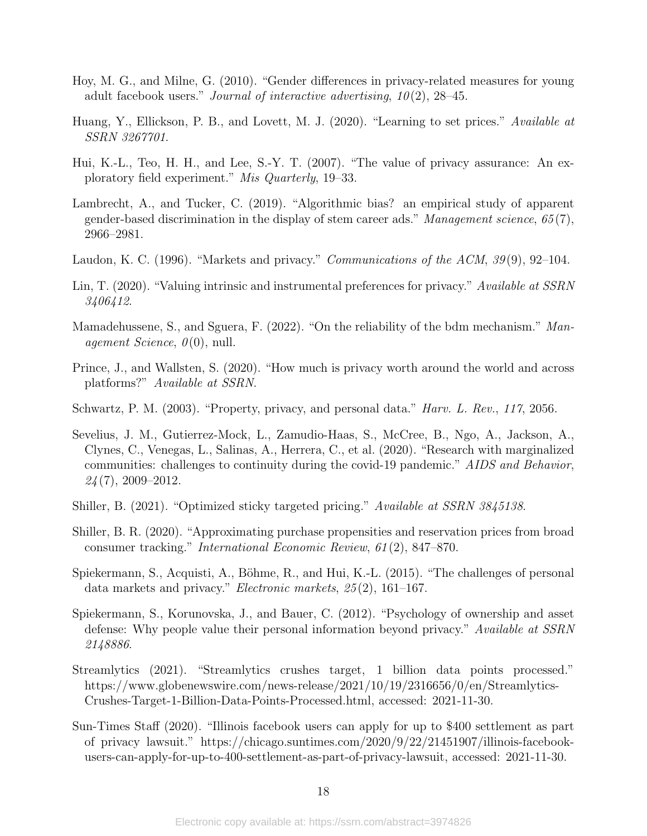- <span id="page-18-11"></span>Hoy, M. G., and Milne, G. (2010). "Gender differences in privacy-related measures for young adult facebook users." Journal of interactive advertising,  $10(2)$ ,  $28-45$ .
- <span id="page-18-7"></span>Huang, Y., Ellickson, P. B., and Lovett, M. J. (2020). "Learning to set prices." Available at SSRN 3267701.
- <span id="page-18-9"></span>Hui, K.-L., Teo, H. H., and Lee, S.-Y. T. (2007). "The value of privacy assurance: An exploratory field experiment." Mis Quarterly, 19–33.
- <span id="page-18-3"></span>Lambrecht, A., and Tucker, C. (2019). "Algorithmic bias? an empirical study of apparent gender-based discrimination in the display of stem career ads." Management science,  $65(7)$ , 2966–2981.
- <span id="page-18-0"></span>Laudon, K. C. (1996). "Markets and privacy." *Communications of the ACM*, 39(9), 92–104.
- <span id="page-18-5"></span>Lin, T. (2020). "Valuing intrinsic and instrumental preferences for privacy." Available at SSRN 3406412.
- <span id="page-18-14"></span>Mamadehussene, S., and Sguera, F. (2022). "On the reliability of the bdm mechanism." Management Science,  $\theta(0)$ , null.
- <span id="page-18-10"></span>Prince, J., and Wallsten, S. (2020). "How much is privacy worth around the world and across platforms?" Available at SSRN.
- <span id="page-18-12"></span>Schwartz, P. M. (2003). "Property, privacy, and personal data." Harv. L. Rev., 117, 2056.
- <span id="page-18-4"></span>Sevelius, J. M., Gutierrez-Mock, L., Zamudio-Haas, S., McCree, B., Ngo, A., Jackson, A., Clynes, C., Venegas, L., Salinas, A., Herrera, C., et al. (2020). "Research with marginalized communities: challenges to continuity during the covid-19 pandemic." AIDS and Behavior,  $24(7)$ , 2009–2012.
- <span id="page-18-2"></span>Shiller, B. (2021). "Optimized sticky targeted pricing." Available at SSRN 3845138.
- <span id="page-18-6"></span>Shiller, B. R. (2020). "Approximating purchase propensities and reservation prices from broad consumer tracking." International Economic Review, 61 (2), 847–870.
- <span id="page-18-1"></span>Spiekermann, S., Acquisti, A., Böhme, R., and Hui, K.-L. (2015). "The challenges of personal data markets and privacy." Electronic markets, 25 (2), 161–167.
- <span id="page-18-13"></span>Spiekermann, S., Korunovska, J., and Bauer, C. (2012). "Psychology of ownership and asset defense: Why people value their personal information beyond privacy." Available at SSRN 2148886.
- <span id="page-18-8"></span>Streamlytics (2021). "Streamlytics crushes target, 1 billion data points processed." https://www.globenewswire.com/news-release/2021/10/19/2316656/0/en/Streamlytics-Crushes-Target-1-Billion-Data-Points-Processed.html, accessed: 2021-11-30.
- <span id="page-18-15"></span>Sun-Times Staff (2020). "Illinois facebook users can apply for up to \$400 settlement as part of privacy lawsuit." https://chicago.suntimes.com/2020/9/22/21451907/illinois-facebookusers-can-apply-for-up-to-400-settlement-as-part-of-privacy-lawsuit, accessed: 2021-11-30.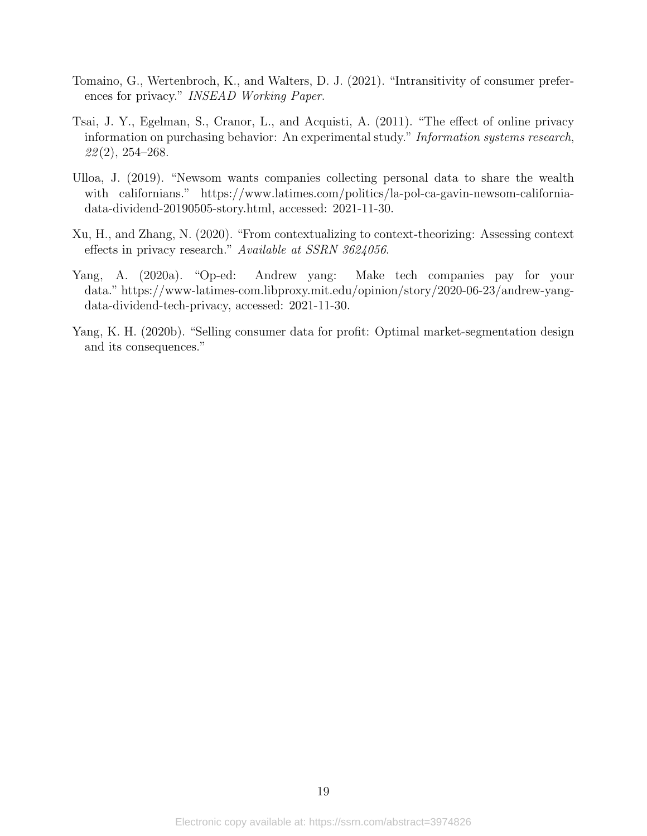- <span id="page-19-2"></span>Tomaino, G., Wertenbroch, K., and Walters, D. J. (2021). "Intransitivity of consumer preferences for privacy." INSEAD Working Paper.
- <span id="page-19-5"></span>Tsai, J. Y., Egelman, S., Cranor, L., and Acquisti, A. (2011). "The effect of online privacy information on purchasing behavior: An experimental study." Information systems research,  $22(2)$ , 254–268.
- <span id="page-19-0"></span>Ulloa, J. (2019). "Newsom wants companies collecting personal data to share the wealth with californians." https://www.latimes.com/politics/la-pol-ca-gavin-newsom-californiadata-dividend-20190505-story.html, accessed: 2021-11-30.
- <span id="page-19-4"></span>Xu, H., and Zhang, N. (2020). "From contextualizing to context-theorizing: Assessing context effects in privacy research." Available at SSRN 3624056.
- <span id="page-19-3"></span>Yang, A. (2020a). "Op-ed: Andrew yang: Make tech companies pay for your data." https://www-latimes-com.libproxy.mit.edu/opinion/story/2020-06-23/andrew-yangdata-dividend-tech-privacy, accessed: 2021-11-30.
- <span id="page-19-1"></span>Yang, K. H. (2020b). "Selling consumer data for profit: Optimal market-segmentation design and its consequences."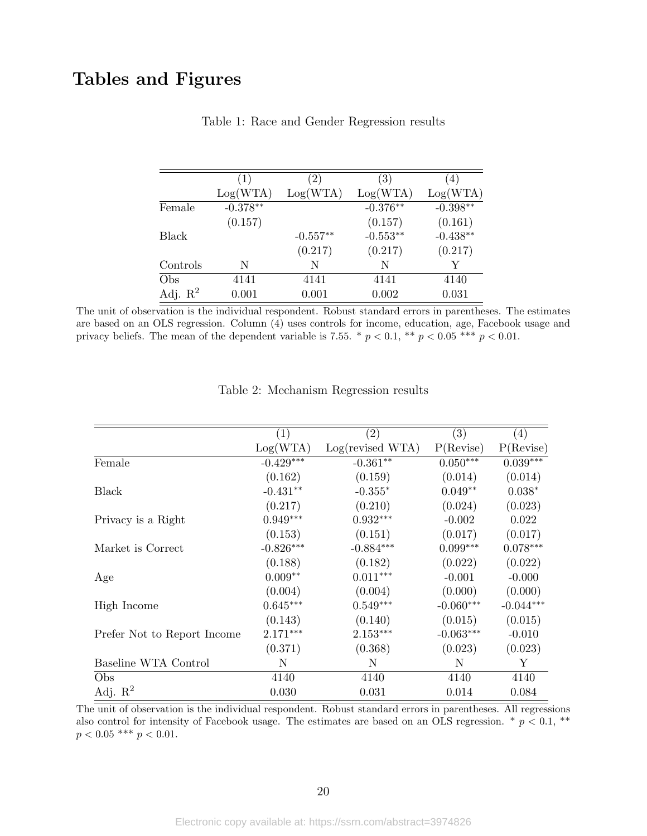## <span id="page-20-0"></span>Tables and Figures

|                     | $\left(1\right)$ | $\left(2\right)$ | $\left(3\right)$ | $\left( 4\right)$ |
|---------------------|------------------|------------------|------------------|-------------------|
|                     | Log(WTA)         | Log(WTA)         | Log(WTA)         | Log(WTA)          |
| Female              | $-0.378**$       |                  | $-0.376**$       | $-0.398**$        |
|                     | (0.157)          |                  | (0.157)          | (0.161)           |
| Black               |                  | $-0.557**$       | $-0.553**$       | $-0.438**$        |
|                     |                  | (0.217)          | (0.217)          | (0.217)           |
| Controls            | N                | N                | N                | V                 |
| Obs                 | 4141             | 4141             | 4141             | 4140              |
| Adj. $\mathbb{R}^2$ | 0.001            | 0.001            | 0.002            | 0.031             |

#### Table 1: Race and Gender Regression results

The unit of observation is the individual respondent. Robust standard errors in parentheses. The estimates are based on an OLS regression. Column (4) uses controls for income, education, age, Facebook usage and privacy beliefs. The mean of the dependent variable is 7.55. \*  $p < 0.1$ , \*\*  $p < 0.05$  \*\*\*  $p < 0.01$ .

<span id="page-20-1"></span>

|                             | (1)         | $\left( 2\right)$ | (3)                | (4)                |
|-----------------------------|-------------|-------------------|--------------------|--------------------|
|                             | Log(WTA)    | Log(revised WTA)  | $P(\text{Review})$ | $P(\text{Review})$ |
| Female                      | $-0.429***$ | $-0.361**$        | $0.050***$         | $0.039***$         |
|                             | (0.162)     | (0.159)           | (0.014)            | (0.014)            |
| Black                       | $-0.431**$  | $-0.355*$         | $0.049**$          | $0.038*$           |
|                             | (0.217)     | (0.210)           | (0.024)            | (0.023)            |
| Privacy is a Right          | $0.949***$  | $0.932***$        | $-0.002$           | 0.022              |
|                             | (0.153)     | (0.151)           | (0.017)            | (0.017)            |
| Market is Correct           | $-0.826***$ | $-0.884***$       | $0.099***$         | $0.078***$         |
|                             | (0.188)     | (0.182)           | (0.022)            | (0.022)            |
| Age                         | $0.009**$   | $0.011***$        | $-0.001$           | $-0.000$           |
|                             | (0.004)     | (0.004)           | (0.000)            | (0.000)            |
| High Income                 | $0.645***$  | $0.549***$        | $-0.060***$        | $-0.044***$        |
|                             | (0.143)     | (0.140)           | (0.015)            | (0.015)            |
| Prefer Not to Report Income | $2.171***$  | $2.153***$        | $-0.063***$        | $-0.010$           |
|                             | (0.371)     | (0.368)           | (0.023)            | (0.023)            |
| Baseline WTA Control        | N           | N                 | N                  | Y                  |
| Obs                         | 4140        | 4140              | 4140               | 4140               |
| Adj. $R^2$                  | 0.030       | 0.031             | 0.014              | 0.084              |

|  | Table 2: Mechanism Regression results |  |
|--|---------------------------------------|--|
|  |                                       |  |

The unit of observation is the individual respondent. Robust standard errors in parentheses. All regressions also control for intensity of Facebook usage. The estimates are based on an OLS regression.  $*$   $p < 0.1$ ,  $**$  $p < 0.05$  \*\*\*  $p < 0.01.$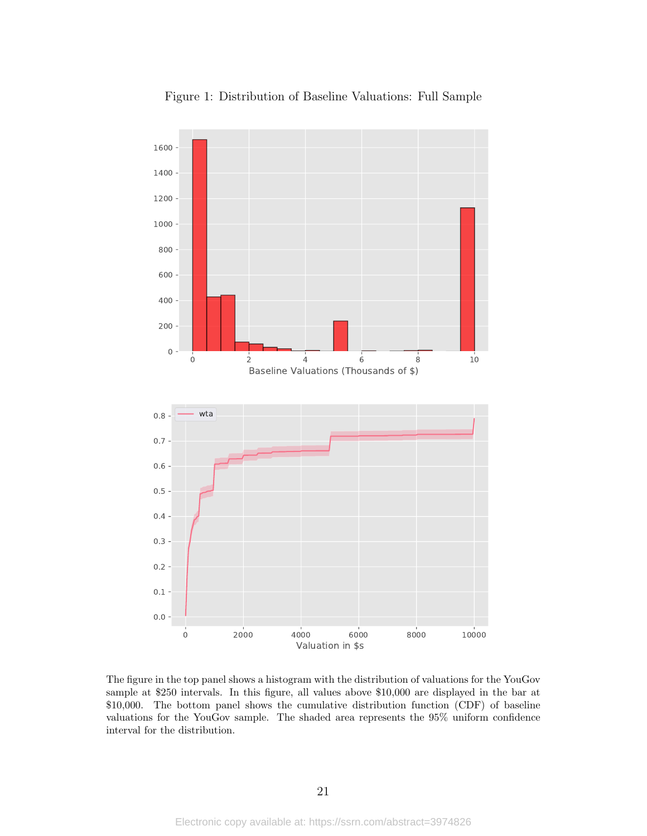<span id="page-21-0"></span>

Figure 1: Distribution of Baseline Valuations: Full Sample

<span id="page-21-1"></span>The figure in the top panel shows a histogram with the distribution of valuations for the YouGov sample at \$250 intervals. In this figure, all values above \$10,000 are displayed in the bar at \$10,000. The bottom panel shows the cumulative distribution function (CDF) of baseline valuations for the YouGov sample. The shaded area represents the 95% uniform confidence interval for the distribution.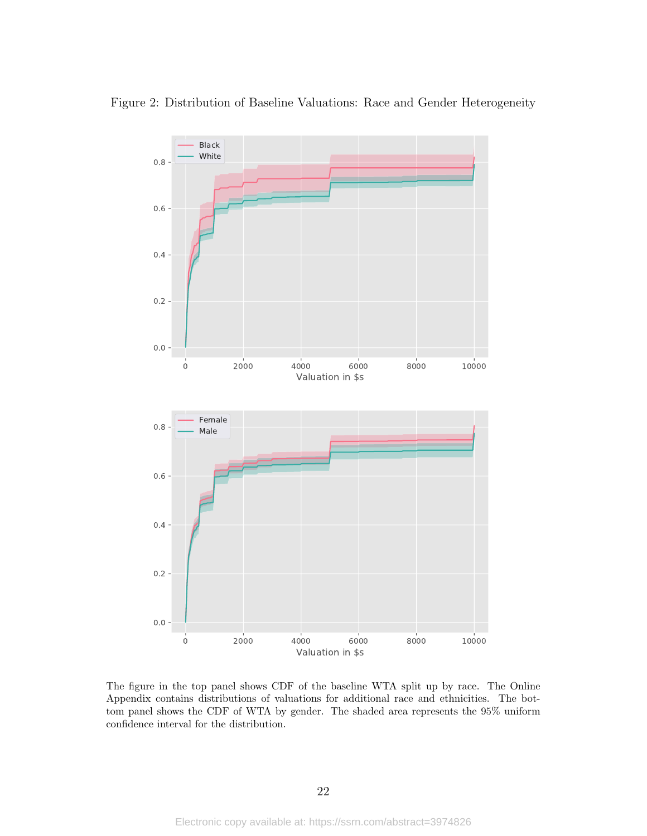

<span id="page-22-0"></span>Figure 2: Distribution of Baseline Valuations: Race and Gender Heterogeneity

The figure in the top panel shows CDF of the baseline WTA split up by race. The Online Appendix contains distributions of valuations for additional race and ethnicities. The bottom panel shows the CDF of WTA by gender. The shaded area represents the 95% uniform confidence interval for the distribution.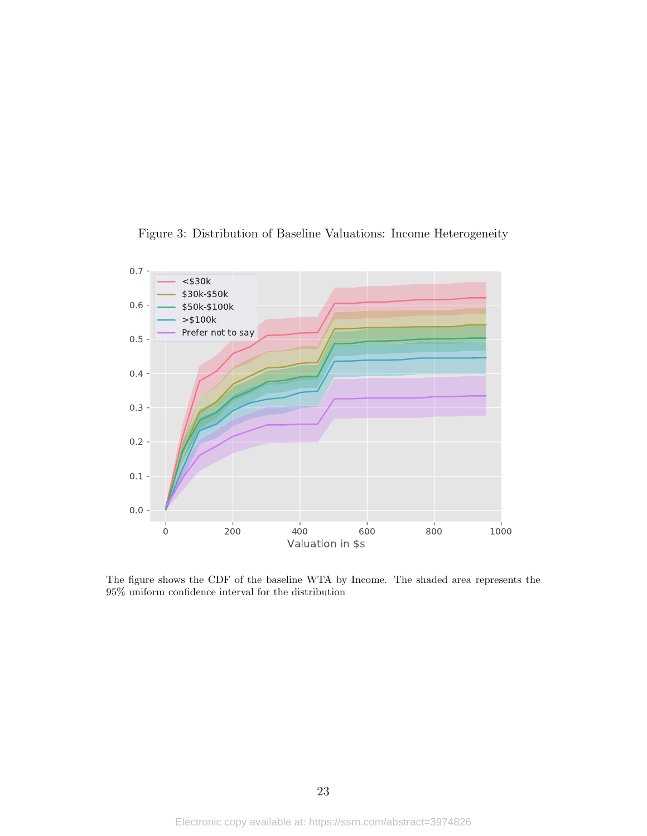<span id="page-23-0"></span>

Figure 3: Distribution of Baseline Valuations: Income Heterogeneity

The figure shows the CDF of the baseline WTA by Income. The shaded area represents the 95% uniform confidence interval for the distribution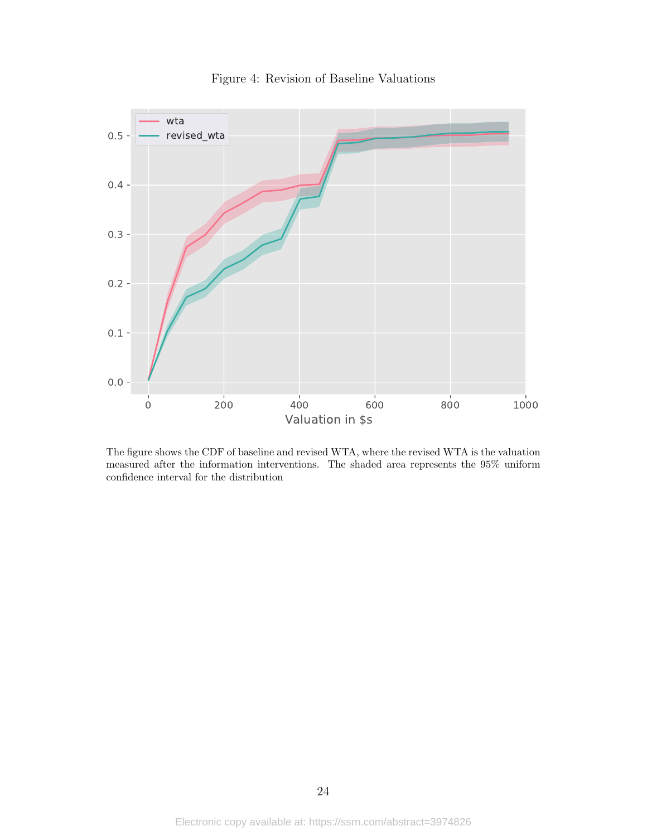<span id="page-24-0"></span>

Figure 4: Revision of Baseline Valuations

The figure shows the CDF of baseline and revised WTA, where the revised WTA is the valuation measured after the information interventions. The shaded area represents the 95% uniform confidence interval for the distribution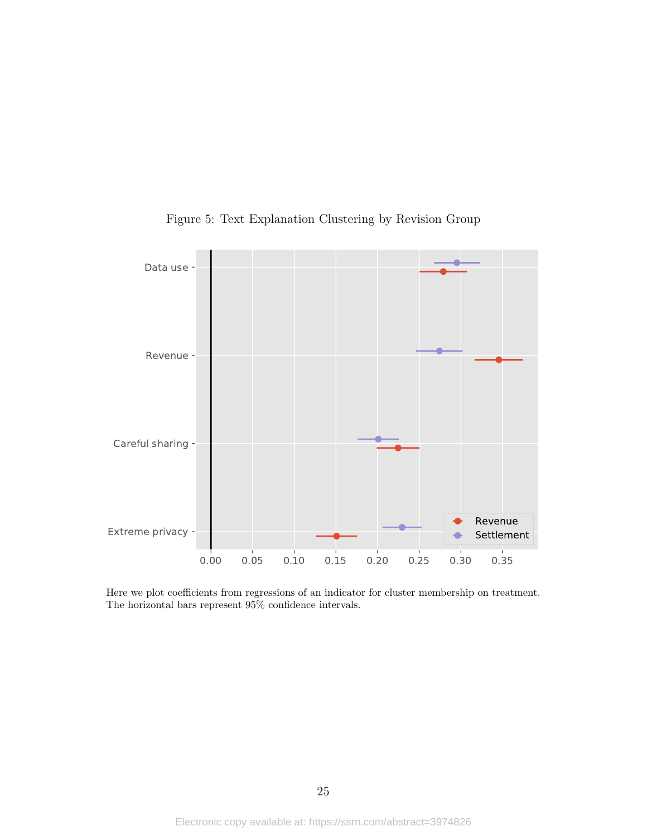<span id="page-25-0"></span>

Figure 5: Text Explanation Clustering by Revision Group

Here we plot coefficients from regressions of an indicator for cluster membership on treatment. The horizontal bars represent 95% confidence intervals.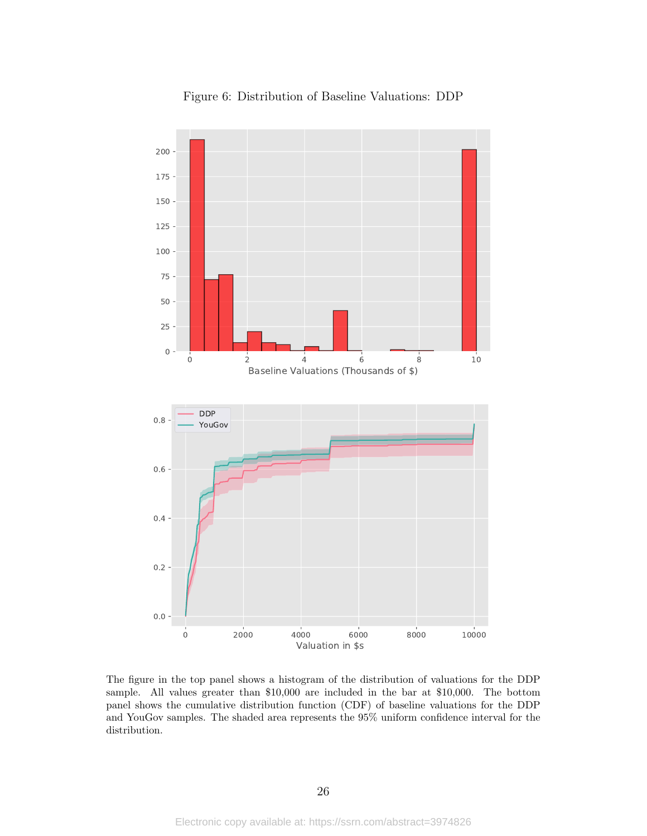<span id="page-26-0"></span>

Figure 6: Distribution of Baseline Valuations: DDP

The figure in the top panel shows a histogram of the distribution of valuations for the DDP sample. All values greater than \$10,000 are included in the bar at \$10,000. The bottom panel shows the cumulative distribution function (CDF) of baseline valuations for the DDP and YouGov samples. The shaded area represents the 95% uniform confidence interval for the distribution.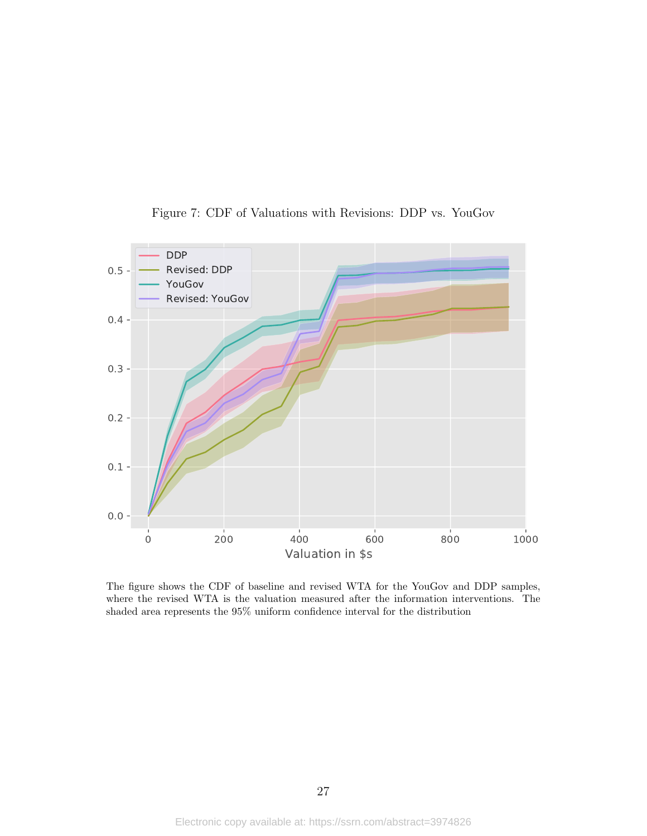<span id="page-27-0"></span>

Figure 7: CDF of Valuations with Revisions: DDP vs. YouGov

The figure shows the CDF of baseline and revised WTA for the YouGov and DDP samples, where the revised WTA is the valuation measured after the information interventions. The shaded area represents the 95% uniform confidence interval for the distribution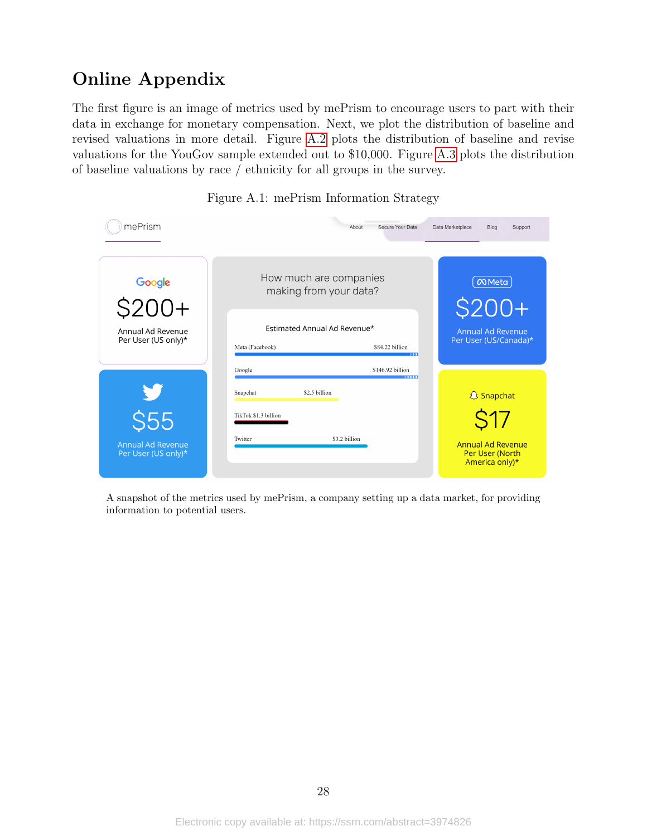# Online Appendix

The first figure is an image of metrics used by mePrism to encourage users to part with their data in exchange for monetary compensation. Next, we plot the distribution of baseline and revised valuations in more detail. Figure [A.2](#page-29-0) plots the distribution of baseline and revise valuations for the YouGov sample extended out to \$10,000. Figure [A.3](#page-23-0) plots the distribution of baseline valuations by race / ethnicity for all groups in the survey.

<span id="page-28-0"></span>

| mePrism                                         | Secure Your Data<br>About                                                                                   | Data Marketplace<br>Blog<br>Support                           |
|-------------------------------------------------|-------------------------------------------------------------------------------------------------------------|---------------------------------------------------------------|
| $rac{Google}{$200+}$                            | How much are companies<br>making from your data?                                                            | $\infty$ Meta<br>$$200+$                                      |
| Annual Ad Revenue<br>Per User (US only)*        | Estimated Annual Ad Revenue*<br>\$84.22 billion<br>Meta (Facebook)<br>$\rightarrow \rightarrow \rightarrow$ | <b>Annual Ad Revenue</b><br>Per User (US/Canada)*             |
| y<br>$\overline{\text{S}}\overline{\text{S}}$   | \$146.92 billion<br>Google<br>33333<br>Snapchat<br>\$2.5 billion<br>TikTok \$1.3 billion                    | <b>&amp; Snapchat</b><br>S17                                  |
| <b>Annual Ad Revenue</b><br>Per User (US only)* | Twitter<br>\$3.2 billion                                                                                    | <b>Annual Ad Revenue</b><br>Per User (North<br>America only)* |

Figure A.1: mePrism Information Strategy

A snapshot of the metrics used by mePrism, a company setting up a data market, for providing information to potential users.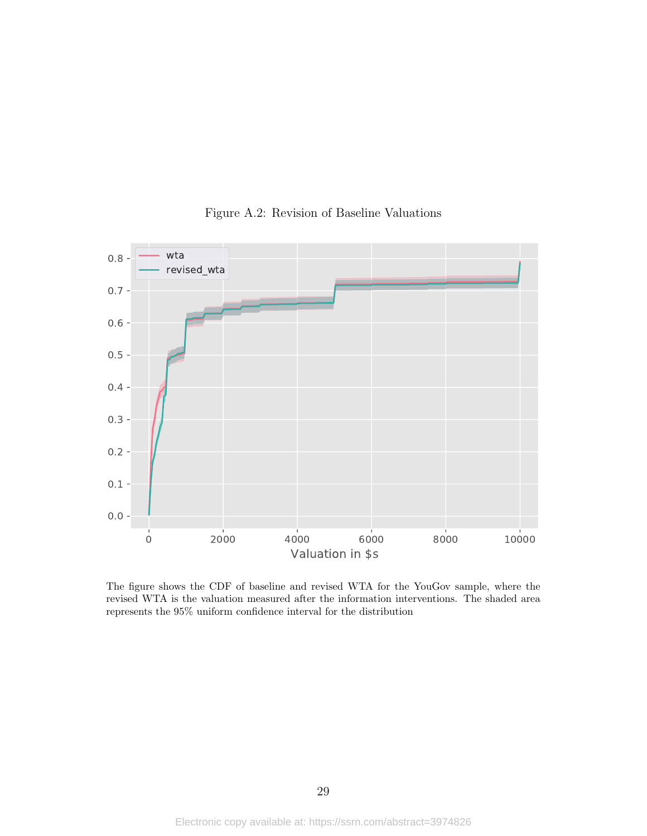<span id="page-29-0"></span>

Figure A.2: Revision of Baseline Valuations

The figure shows the CDF of baseline and revised WTA for the YouGov sample, where the revised WTA is the valuation measured after the information interventions. The shaded area represents the  $95\%$  uniform confidence interval for the distribution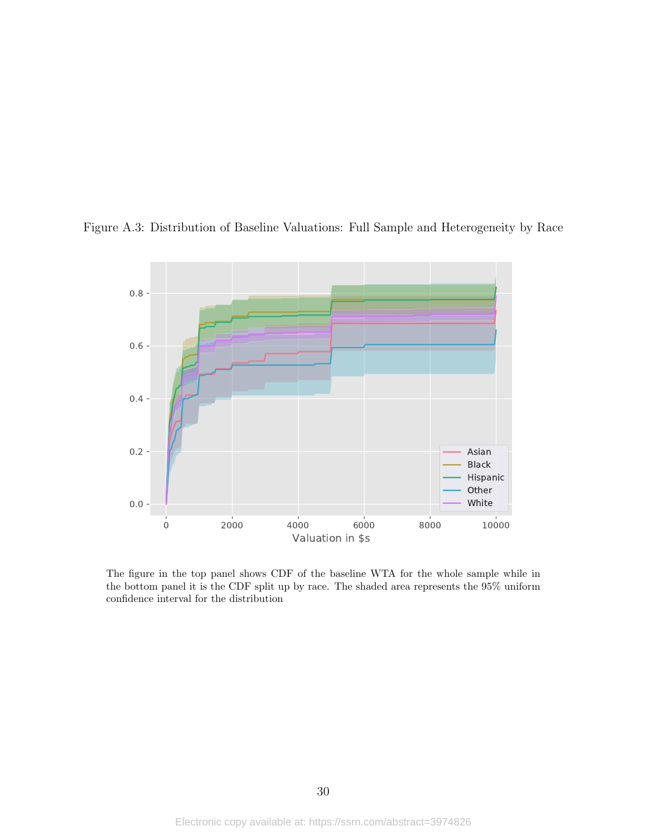

Figure A.3: Distribution of Baseline Valuations: Full Sample and Heterogeneity by Race

The figure in the top panel shows CDF of the baseline WTA for the whole sample while in the bottom panel it is the CDF split up by race. The shaded area represents the 95% uniform confidence interval for the distribution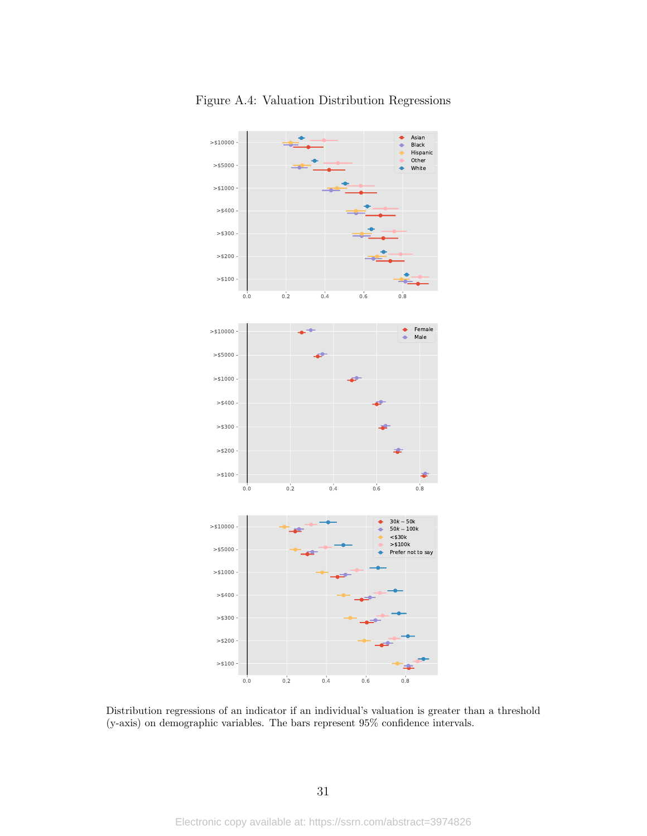

Figure A.4: Valuation Distribution Regressions

Distribution regressions of an indicator if an individual's valuation is greater than a threshold (y-axis) on demographic variables. The bars represent 95% confidence intervals.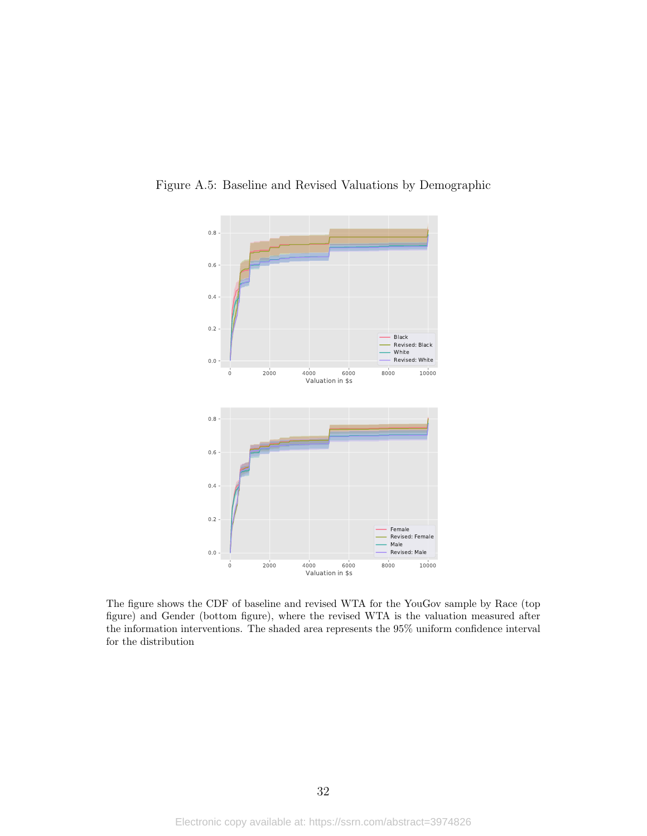

Figure A.5: Baseline and Revised Valuations by Demographic

The figure shows the CDF of baseline and revised WTA for the YouGov sample by Race (top figure) and Gender (bottom figure), where the revised WTA is the valuation measured after the information interventions. The shaded area represents the 95% uniform confidence interval for the distribution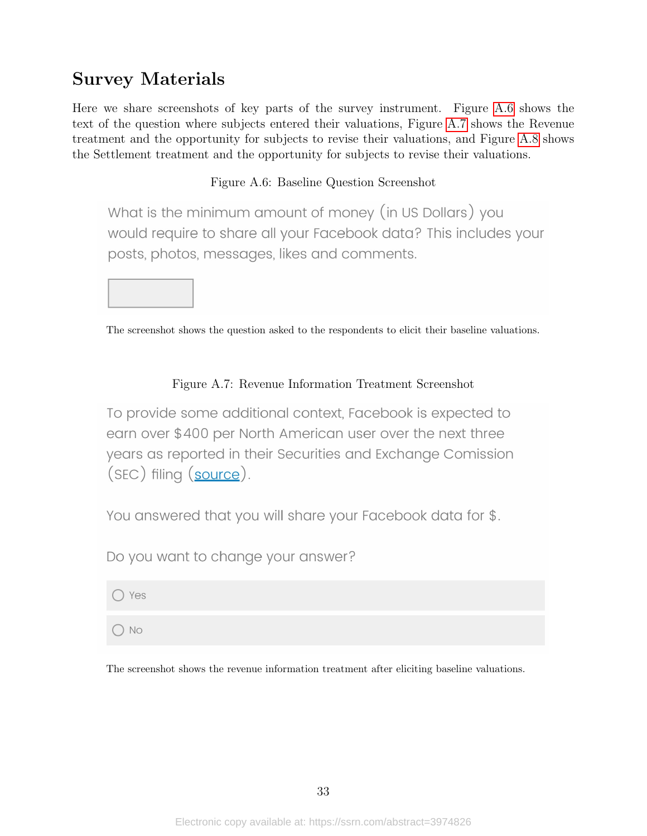# Survey Materials

Here we share screenshots of key parts of the survey instrument. Figure [A.6](#page-33-0) shows the text of the question where subjects entered their valuations, Figure [A.7](#page-33-1) shows the Revenue treatment and the opportunity for subjects to revise their valuations, and Figure [A.8](#page-34-0) shows the Settlement treatment and the opportunity for subjects to revise their valuations.

### Figure A.6: Baseline Question Screenshot

<span id="page-33-0"></span>What is the minimum amount of money (in US Dollars) you would require to share all your Facebook data? This includes your posts, photos, messages, likes and comments.



The screenshot shows the question asked to the respondents to elicit their baseline valuations.

### Figure A.7: Revenue Information Treatment Screenshot

<span id="page-33-1"></span>To provide some additional context, Facebook is expected to earn over \$400 per North American user over the next three years as reported in their Securities and Exchange Comission (SEC) filing (source).

You answered that you will share your Facebook data for \$.

Do you want to change your answer?

 $\bigcirc$  Yes

 $\bigcirc$  No

The screenshot shows the revenue information treatment after eliciting baseline valuations.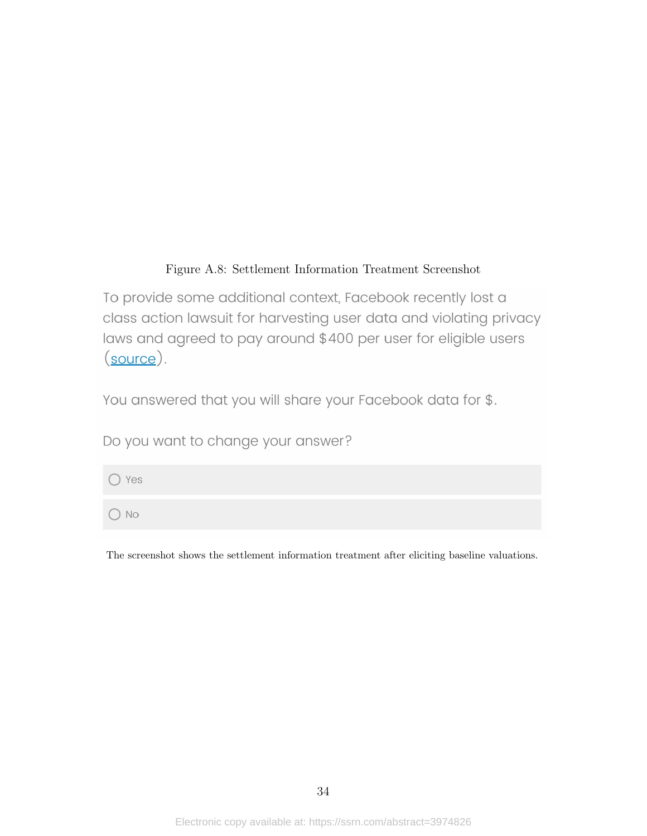### Figure A.8: Settlement Information Treatment Screenshot

<span id="page-34-0"></span>To provide some additional context, Facebook recently lost a class action lawsuit for harvesting user data and violating privacy laws and agreed to pay around \$400 per user for eligible users  $(source)$ .

You answered that you will share your Facebook data for \$.

Do you want to change your answer?

 $\bigcirc$  Yes

 $\bigcirc$  No

The screenshot shows the settlement information treatment after eliciting baseline valuations.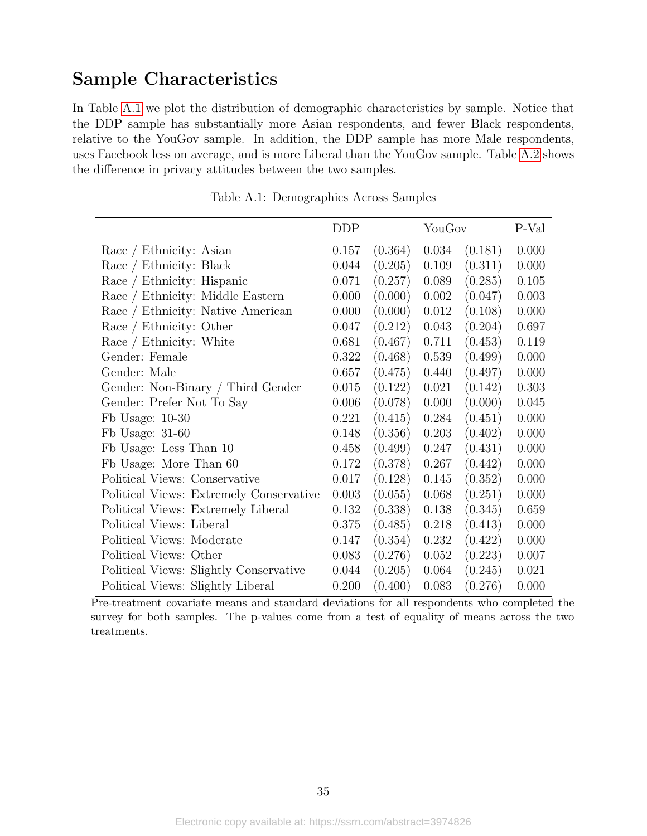## Sample Characteristics

In Table [A.1](#page-35-0) we plot the distribution of demographic characteristics by sample. Notice that the DDP sample has substantially more Asian respondents, and fewer Black respondents, relative to the YouGov sample. In addition, the DDP sample has more Male respondents, uses Facebook less on average, and is more Liberal than the YouGov sample. Table [A.2](#page-36-0) shows the difference in privacy attitudes between the two samples.

<span id="page-35-0"></span>

|                                         | <b>DDP</b> |         | YouGov    |         | P-Val |
|-----------------------------------------|------------|---------|-----------|---------|-------|
| Race / Ethnicity: Asian                 | 0.157      | (0.364) | 0.034     | (0.181) | 0.000 |
| Race / Ethnicity: Black                 | 0.044      | (0.205) | 0.109     | (0.311) | 0.000 |
| Race / Ethnicity: Hispanic              | 0.071      | (0.257) | 0.089     | (0.285) | 0.105 |
| Race / Ethnicity: Middle Eastern        | 0.000      | (0.000) | 0.002     | (0.047) | 0.003 |
| Race / Ethnicity: Native American       | 0.000      | (0.000) | $0.012\,$ | (0.108) | 0.000 |
| Race / Ethnicity: Other                 | 0.047      | (0.212) | 0.043     | (0.204) | 0.697 |
| Race / Ethnicity: White                 | 0.681      | (0.467) | 0.711     | (0.453) | 0.119 |
| Gender: Female                          | 0.322      | (0.468) | 0.539     | (0.499) | 0.000 |
| Gender: Male                            | 0.657      | (0.475) | 0.440     | (0.497) | 0.000 |
| Gender: Non-Binary / Third Gender       | 0.015      | (0.122) | 0.021     | (0.142) | 0.303 |
| Gender: Prefer Not To Say               | 0.006      | (0.078) | 0.000     | (0.000) | 0.045 |
| Fb Usage: $10-30$                       | 0.221      | (0.415) | 0.284     | (0.451) | 0.000 |
| Fb Usage: $31-60$                       | 0.148      | (0.356) | 0.203     | (0.402) | 0.000 |
| Fb Usage: Less Than 10                  | 0.458      | (0.499) | 0.247     | (0.431) | 0.000 |
| Fb Usage: More Than 60                  | 0.172      | (0.378) | 0.267     | (0.442) | 0.000 |
| Political Views: Conservative           | 0.017      | (0.128) | 0.145     | (0.352) | 0.000 |
| Political Views: Extremely Conservative | 0.003      | (0.055) | 0.068     | (0.251) | 0.000 |
| Political Views: Extremely Liberal      | 0.132      | (0.338) | 0.138     | (0.345) | 0.659 |
| Political Views: Liberal                | 0.375      | (0.485) | 0.218     | (0.413) | 0.000 |
| Political Views: Moderate               | 0.147      | (0.354) | 0.232     | (0.422) | 0.000 |
| Political Views: Other                  | 0.083      | (0.276) | 0.052     | (0.223) | 0.007 |
| Political Views: Slightly Conservative  | 0.044      | (0.205) | 0.064     | (0.245) | 0.021 |
| Political Views: Slightly Liberal       | 0.200      | (0.400) | 0.083     | (0.276) | 0.000 |

Table A.1: Demographics Across Samples

Pre-treatment covariate means and standard deviations for all respondents who completed the survey for both samples. The p-values come from a test of equality of means across the two treatments.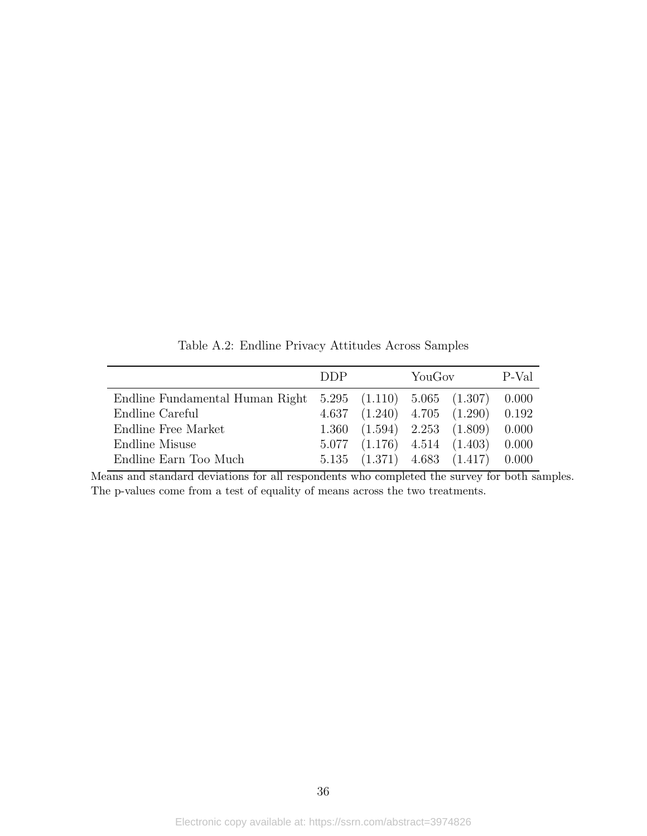<span id="page-36-0"></span>

|                                                                     | <b>DDP</b> |                                     | YouGov |                                             | P-Val |
|---------------------------------------------------------------------|------------|-------------------------------------|--------|---------------------------------------------|-------|
| Endline Fundamental Human Right $5.295$ $(1.110)$ $5.065$ $(1.307)$ |            |                                     |        |                                             | 0.000 |
| Endline Careful                                                     |            | $4.637$ $(1.240)$ $4.705$ $(1.290)$ |        |                                             | 0.192 |
| Endline Free Market                                                 |            | $1.360$ $(1.594)$ $2.253$ $(1.809)$ |        |                                             | 0.000 |
| Endline Misuse                                                      |            | $5.077$ $(1.176)$ $4.514$ $(1.403)$ |        |                                             | 0.000 |
| Endline Earn Too Much                                               |            |                                     |        | $5.135$ $(1.371)$ $4.683$ $(1.417)$ $0.000$ |       |

Table A.2: Endline Privacy Attitudes Across Samples

Means and standard deviations for all respondents who completed the survey for both samples. The p-values come from a test of equality of means across the two treatments.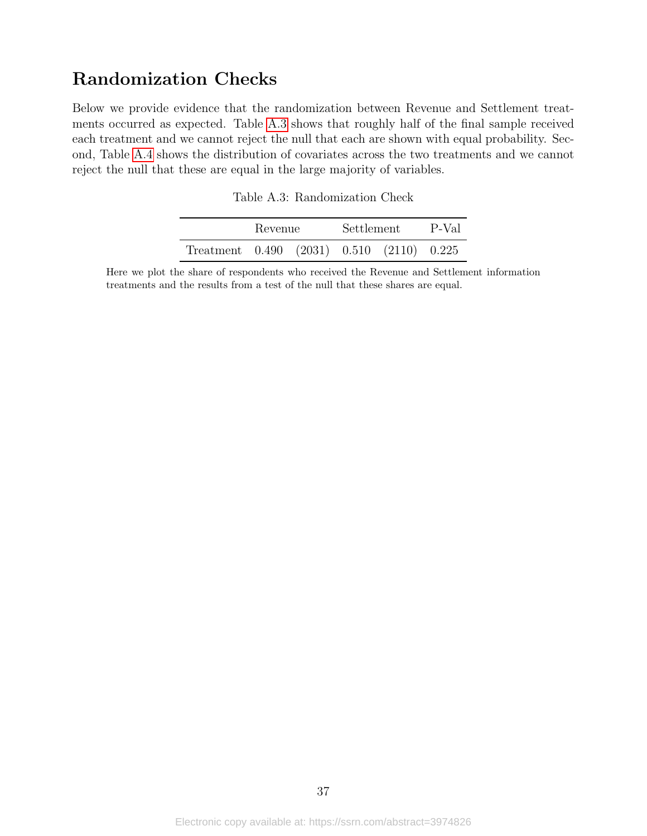## Randomization Checks

<span id="page-37-0"></span>Below we provide evidence that the randomization between Revenue and Settlement treatments occurred as expected. Table [A.3](#page-37-0) shows that roughly half of the final sample received each treatment and we cannot reject the null that each are shown with equal probability. Second, Table [A.4](#page-38-0) shows the distribution of covariates across the two treatments and we cannot reject the null that these are equal in the large majority of variables.

| Table A.3: Randomization Check |  |
|--------------------------------|--|
|                                |  |

|                                                     | Revenue | Settlement | P-Val |
|-----------------------------------------------------|---------|------------|-------|
| Treatment $0.490$ $(2031)$ $0.510$ $(2110)$ $0.225$ |         |            |       |

Here we plot the share of respondents who received the Revenue and Settlement information treatments and the results from a test of the null that these shares are equal.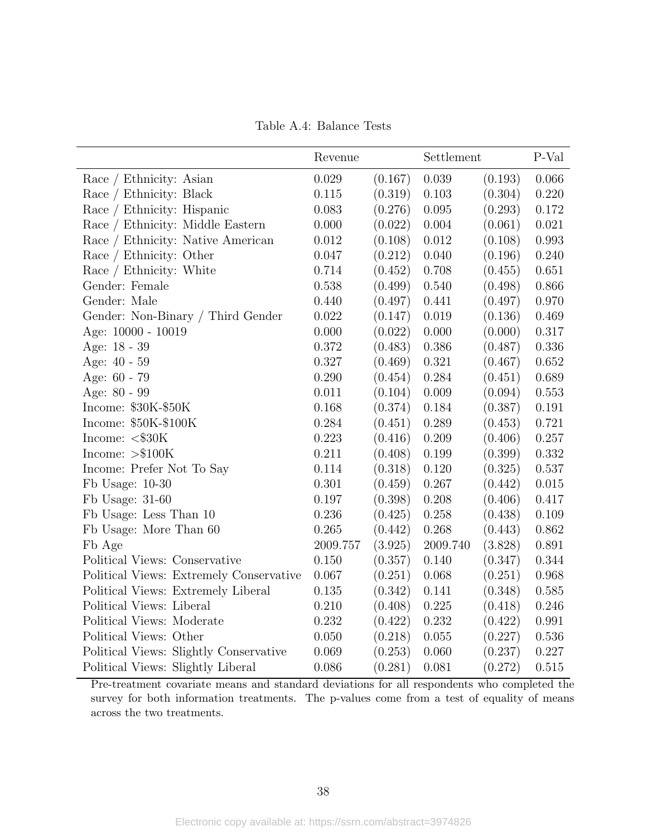Table A.4: Balance Tests

<span id="page-38-0"></span>

|                                         | Revenue   |         | Settlement |         | P-Val       |
|-----------------------------------------|-----------|---------|------------|---------|-------------|
| Race / Ethnicity: Asian                 | 0.029     | (0.167) | 0.039      | (0.193) | 0.066       |
| Race / Ethnicity: Black                 | 0.115     | (0.319) | 0.103      | (0.304) | 0.220       |
| Race / Ethnicity: Hispanic              | 0.083     | (0.276) | 0.095      | (0.293) | 0.172       |
| Race / Ethnicity: Middle Eastern        | 0.000     | (0.022) | 0.004      | (0.061) | $\,0.021\,$ |
| Race / Ethnicity: Native American       | 0.012     | (0.108) | 0.012      | (0.108) | 0.993       |
| Race / Ethnicity: Other                 | 0.047     | (0.212) | 0.040      | (0.196) | 0.240       |
| Race / Ethnicity: White                 | 0.714     | (0.452) | 0.708      | (0.455) | 0.651       |
| Gender: Female                          | $0.538\,$ | (0.499) | 0.540      | (0.498) | 0.866       |
| Gender: Male                            | 0.440     | (0.497) | 0.441      | (0.497) | 0.970       |
| Gender: Non-Binary / Third Gender       | 0.022     | (0.147) | 0.019      | (0.136) | 0.469       |
| Age: 10000 - 10019                      | 0.000     | (0.022) | 0.000      | (0.000) | 0.317       |
| Age: 18 - 39                            | 0.372     | (0.483) | 0.386      | (0.487) | 0.336       |
| Age: 40 - 59                            | 0.327     | (0.469) | 0.321      | (0.467) | 0.652       |
| Age: 60 - 79                            | 0.290     | (0.454) | 0.284      | (0.451) | 0.689       |
| Age: 80 - 99                            | 0.011     | (0.104) | 0.009      | (0.094) | 0.553       |
| Income: \$30K-\$50K                     | 0.168     | (0.374) | 0.184      | (0.387) | 0.191       |
| Income: \$50K-\$100K                    | 0.284     | (0.451) | 0.289      | (0.453) | 0.721       |
| Income: $\langle$ \$30 $K$              | 0.223     | (0.416) | 0.209      | (0.406) | 0.257       |
| Income: $> $100K$                       | 0.211     | (0.408) | 0.199      | (0.399) | 0.332       |
| Income: Prefer Not To Say               | 0.114     | (0.318) | 0.120      | (0.325) | 0.537       |
| Fb Usage: $10-30$                       | 0.301     | (0.459) | 0.267      | (0.442) | 0.015       |
| Fb Usage: $31-60$                       | 0.197     | (0.398) | 0.208      | (0.406) | 0.417       |
| Fb Usage: Less Than 10                  | 0.236     | (0.425) | 0.258      | (0.438) | 0.109       |
| Fb Usage: More Than 60                  | 0.265     | (0.442) | 0.268      | (0.443) | 0.862       |
| Fb Age                                  | 2009.757  | (3.925) | 2009.740   | (3.828) | 0.891       |
| Political Views: Conservative           | 0.150     | (0.357) | 0.140      | (0.347) | 0.344       |
| Political Views: Extremely Conservative | 0.067     | (0.251) | 0.068      | (0.251) | 0.968       |
| Political Views: Extremely Liberal      | 0.135     | (0.342) | 0.141      | (0.348) | 0.585       |
| Political Views: Liberal                | 0.210     | (0.408) | 0.225      | (0.418) | 0.246       |
| Political Views: Moderate               | 0.232     | (0.422) | 0.232      | (0.422) | 0.991       |
| Political Views: Other                  | 0.050     | (0.218) | 0.055      | (0.227) | 0.536       |
| Political Views: Slightly Conservative  | 0.069     | (0.253) | 0.060      | (0.237) | 0.227       |
| Political Views: Slightly Liberal       | 0.086     | (0.281) | 0.081      | (0.272) | 0.515       |

Pre-treatment covariate means and standard deviations for all respondents who completed the survey for both information treatments. The p-values come from a test of equality of means across the two treatments.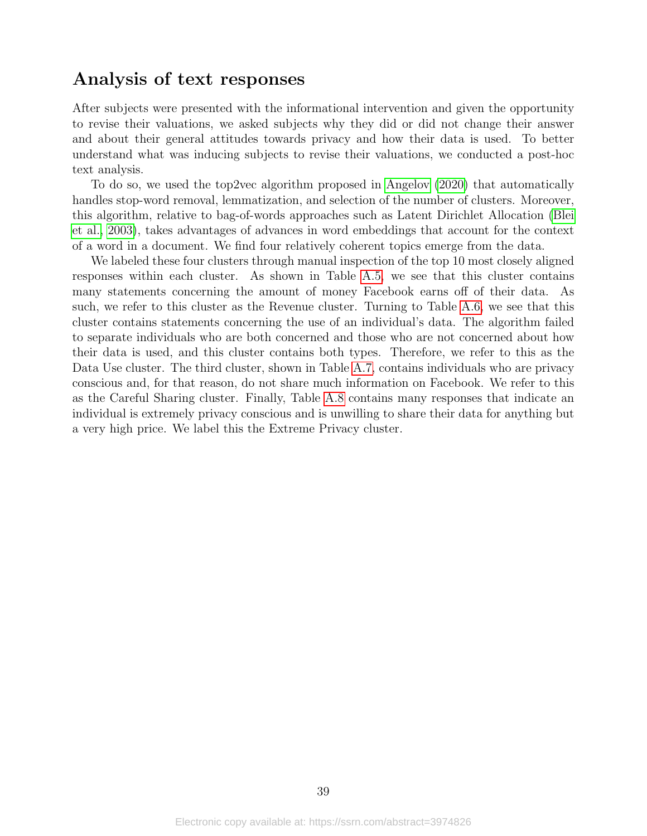## Analysis of text responses

After subjects were presented with the informational intervention and given the opportunity to revise their valuations, we asked subjects why they did or did not change their answer and about their general attitudes towards privacy and how their data is used. To better understand what was inducing subjects to revise their valuations, we conducted a post-hoc text analysis.

To do so, we used the top2vec algorithm proposed in [Angelov](#page-16-14) [\(2020\)](#page-16-14) that automatically handles stop-word removal, lemmatization, and selection of the number of clusters. Moreover, this algorithm, relative to bag-of-words approaches such as Latent Dirichlet Allocation [\(Blei](#page-17-15) [et al., 2003\)](#page-17-15), takes advantages of advances in word embeddings that account for the context of a word in a document. We find four relatively coherent topics emerge from the data.

We labeled these four clusters through manual inspection of the top 10 most closely aligned responses within each cluster. As shown in Table [A.5,](#page-40-0) we see that this cluster contains many statements concerning the amount of money Facebook earns off of their data. As such, we refer to this cluster as the Revenue cluster. Turning to Table [A.6,](#page-41-0) we see that this cluster contains statements concerning the use of an individual's data. The algorithm failed to separate individuals who are both concerned and those who are not concerned about how their data is used, and this cluster contains both types. Therefore, we refer to this as the Data Use cluster. The third cluster, shown in Table [A.7,](#page-42-0) contains individuals who are privacy conscious and, for that reason, do not share much information on Facebook. We refer to this as the Careful Sharing cluster. Finally, Table [A.8](#page-43-0) contains many responses that indicate an individual is extremely privacy conscious and is unwilling to share their data for anything but a very high price. We label this the Extreme Privacy cluster.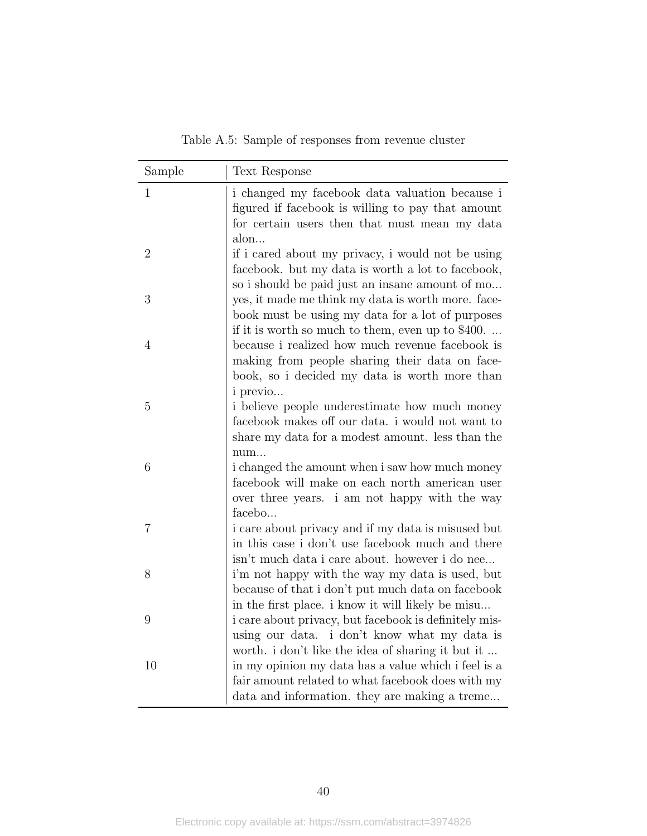Table A.5: Sample of responses from revenue cluster

<span id="page-40-0"></span>

| Sample         | Text Response                                                                                                                                                  |
|----------------|----------------------------------------------------------------------------------------------------------------------------------------------------------------|
| $\mathbf{1}$   | i changed my facebook data valuation because i<br>figured if facebook is willing to pay that amount<br>for certain users then that must mean my data<br>alon   |
| $\overline{2}$ | if i cared about my privacy, i would not be using<br>facebook. but my data is worth a lot to facebook,<br>so i should be paid just an insane amount of mo      |
| 3              | yes, it made me think my data is worth more. face-<br>book must be using my data for a lot of purposes<br>if it is worth so much to them, even up to \$400.    |
| 4              | because i realized how much revenue facebook is<br>making from people sharing their data on face-<br>book, so i decided my data is worth more than<br>i previo |
| 5              | i believe people underestimate how much money<br>facebook makes off our data. i would not want to<br>share my data for a modest amount. less than the<br>num   |
| 6              | i changed the amount when i saw how much money<br>facebook will make on each north american user<br>over three years. i am not happy with the way<br>facebo    |
| $\overline{7}$ | i care about privacy and if my data is misused but<br>in this case i don't use facebook much and there<br>isn't much data i care about. however i do nee       |
| 8              | i'm not happy with the way my data is used, but<br>because of that i don't put much data on facebook<br>in the first place, i know it will likely be misu      |
| 9              | i care about privacy, but facebook is definitely mis-<br>using our data. i don't know what my data is<br>worth. i don't like the idea of sharing it but it     |
| 10             | in my opinion my data has a value which i feel is a<br>fair amount related to what facebook does with my<br>data and information. they are making a treme      |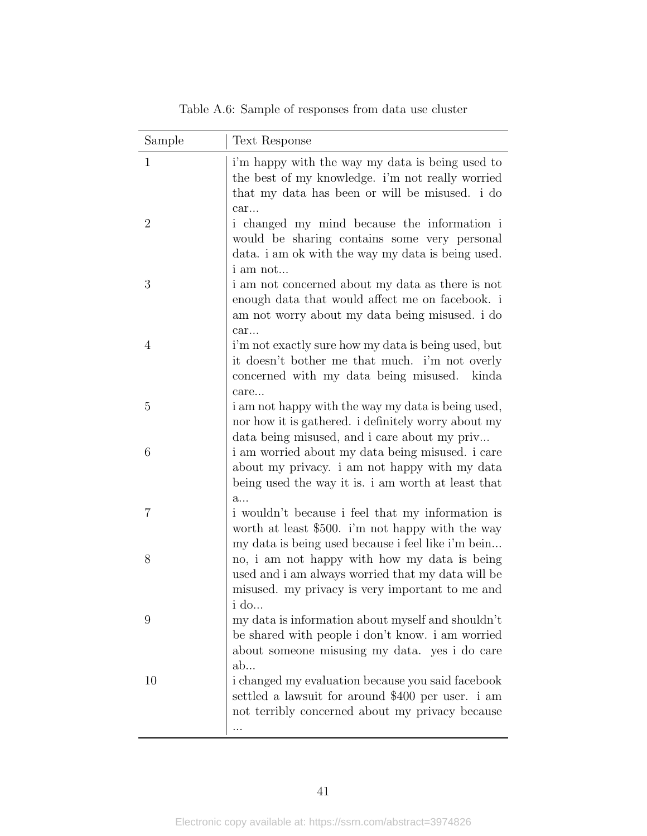<span id="page-41-0"></span>

| $\mathbf{1}$<br>i'm happy with the way my data is being used to<br>the best of my knowledge. i'm not really worried<br>that my data has been or will be misused. i do<br>car<br>$\overline{2}$<br>i changed my mind because the information i<br>would be sharing contains some very personal<br>data. i am ok with the way my data is being used.<br><i>i</i> am not<br>3<br>i am not concerned about my data as there is not<br>enough data that would affect me on facebook. i<br>am not worry about my data being misused. i do<br>car<br>$\overline{4}$<br>i'm not exactly sure how my data is being used, but<br>it doesn't bother me that much. i'm not overly<br>concerned with my data being misused.<br>care<br>5<br>i am not happy with the way my data is being used,<br>nor how it is gathered. i definitely worry about my<br>data being misused, and i care about my priv |       |
|------------------------------------------------------------------------------------------------------------------------------------------------------------------------------------------------------------------------------------------------------------------------------------------------------------------------------------------------------------------------------------------------------------------------------------------------------------------------------------------------------------------------------------------------------------------------------------------------------------------------------------------------------------------------------------------------------------------------------------------------------------------------------------------------------------------------------------------------------------------------------------------|-------|
|                                                                                                                                                                                                                                                                                                                                                                                                                                                                                                                                                                                                                                                                                                                                                                                                                                                                                          |       |
|                                                                                                                                                                                                                                                                                                                                                                                                                                                                                                                                                                                                                                                                                                                                                                                                                                                                                          |       |
|                                                                                                                                                                                                                                                                                                                                                                                                                                                                                                                                                                                                                                                                                                                                                                                                                                                                                          |       |
|                                                                                                                                                                                                                                                                                                                                                                                                                                                                                                                                                                                                                                                                                                                                                                                                                                                                                          | kinda |
|                                                                                                                                                                                                                                                                                                                                                                                                                                                                                                                                                                                                                                                                                                                                                                                                                                                                                          |       |
| 6<br>i am worried about my data being misused. i care<br>about my privacy. i am not happy with my data<br>being used the way it is. i am worth at least that<br>a                                                                                                                                                                                                                                                                                                                                                                                                                                                                                                                                                                                                                                                                                                                        |       |
| $\overline{7}$<br>i wouldn't because i feel that my information is<br>worth at least \$500. i'm not happy with the way<br>my data is being used because i feel like i'm bein                                                                                                                                                                                                                                                                                                                                                                                                                                                                                                                                                                                                                                                                                                             |       |
| 8<br>no, i am not happy with how my data is being<br>used and i am always worried that my data will be<br>misused. my privacy is very important to me and<br>i do.                                                                                                                                                                                                                                                                                                                                                                                                                                                                                                                                                                                                                                                                                                                       |       |
| my data is information about myself and shouldn't<br>9<br>be shared with people i don't know. i am worried<br>about someone misusing my data. yes i do care<br>ab                                                                                                                                                                                                                                                                                                                                                                                                                                                                                                                                                                                                                                                                                                                        |       |
| i changed my evaluation because you said facebook<br>10<br>settled a lawsuit for around \$400 per user. i am<br>not terribly concerned about my privacy because                                                                                                                                                                                                                                                                                                                                                                                                                                                                                                                                                                                                                                                                                                                          |       |

Table A.6: Sample of responses from data use cluster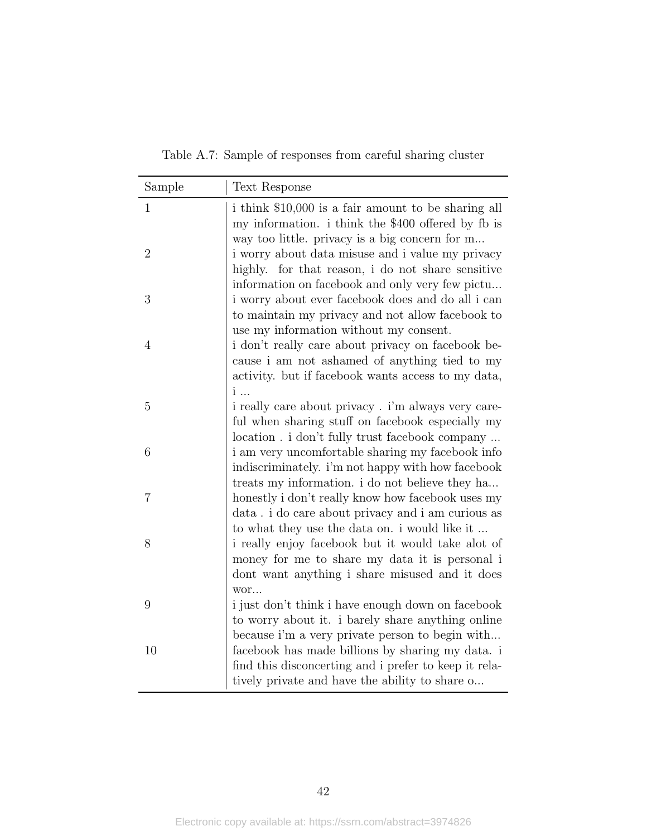<span id="page-42-0"></span>

| Sample         | Text Response                                                                                                                                                 |
|----------------|---------------------------------------------------------------------------------------------------------------------------------------------------------------|
| $\mathbf{1}$   | i think \$10,000 is a fair amount to be sharing all<br>my information. i think the \$400 offered by fb is<br>way too little. privacy is a big concern for m   |
| $\overline{2}$ | i worry about data misuse and i value my privacy<br>highly. for that reason, i do not share sensitive<br>information on facebook and only very few pictu      |
| 3              | i worry about ever facebook does and do all i can<br>to maintain my privacy and not allow facebook to<br>use my information without my consent.               |
| 4              | i don't really care about privacy on facebook be-<br>cause i am not ashamed of anything tied to my<br>activity. but if facebook wants access to my data,<br>i |
| 5              | i really care about privacy. i'm always very care-<br>ful when sharing stuff on facebook especially my<br>location . i don't fully trust facebook company     |
| 6              | i am very uncomfortable sharing my facebook info<br>indiscriminately. i'm not happy with how facebook<br>treats my information. i do not believe they ha      |
| 7              | honestly i don't really know how facebook uses my<br>data . i do care about privacy and i am curious as<br>to what they use the data on. i would like it      |
| 8              | i really enjoy facebook but it would take alot of<br>money for me to share my data it is personal i<br>dont want anything i share misused and it does<br>wor  |
| 9              | i just don't think i have enough down on facebook<br>to worry about it. i barely share anything online<br>because i'm a very private person to begin with     |
| 10             | facebook has made billions by sharing my data. i<br>find this disconcerting and i prefer to keep it rela-<br>tively private and have the ability to share o   |

Table A.7: Sample of responses from careful sharing cluster